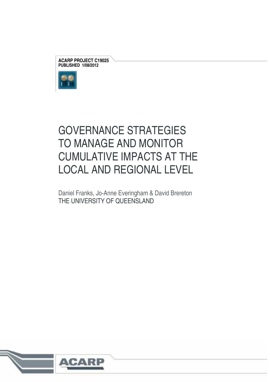**ACARP PROJECT C19025 PUBLISHED 1/08/2012** 



# GOVERNANCE STRATEGIES TO MANAGE AND MONITOR CUMULATIVE IMPACTS AT THE LOCAL AND REGIONAL LEVEL

Daniel Franks, Jo-Anne Everingham & David Brereton THE UNIVERSITY OF QUEENSLAND

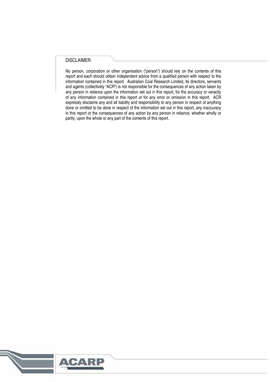#### DISCLAIMER

No person, corporation or other organisation ("person") should rely on the contents of this report and each should obtain independent advice from a qualified person with respect to the information contained in this report. Australian Coal Research Limited, its directors, servants and agents (collectively "ACR") is not responsible for the consequences of any action taken by any person in reliance upon the information set out in this report, for the accuracy or veracity of any information contained in this report or for any error or omission in this report. ACR expressly disclaims any and all liability and responsibility to any person in respect of anything done or omitted to be done in respect of the information set out in this report, any inaccuracy in this report or the consequences of any action by any person in reliance, whether wholly or partly, upon the whole or any part of the contents of this report.

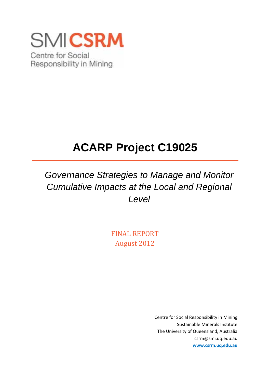

# **ACARP Project C19025**

*Governance Strategies to Manage and Monitor Cumulative Impacts at the Local and Regional Level* 

> FINAL REPORT August 2012

> > Centre for Social Responsibility in Mining Sustainable Minerals Institute The University of Queensland, Australia csrm@smi.uq.edu.au **www.csrm.uq.edu.au**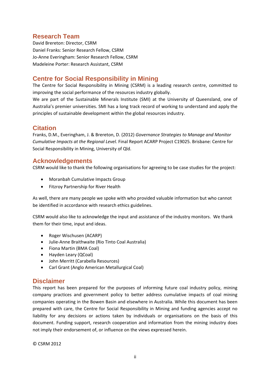# **Research Team**

David Brereton: Director, CSRM Daniel Franks: Senior Research Fellow, CSRM Jo‐Anne Everingham: Senior Research Fellow, CSRM Madeleine Porter: Research Assistant, CSRM

# **Centre for Social Responsibility in Mining**

The Centre for Social Responsibility in Mining (CSRM) is a leading research centre, committed to improving the social performance of the resources industry globally.

We are part of the Sustainable Minerals Institute (SMI) at the University of Queensland, one of Australia's premier universities. SMI has a long track record of working to understand and apply the principles of sustainable development within the global resources industry.

### **Citation**

Franks, D.M., Everingham, J. & Brereton, D. (2012) *Governance Strategies to Manage and Monitor Cumulative Impacts at the Regional Level.* Final Report ACARP Project C19025. Brisbane: Centre for Social Responsibility in Mining, University of Qld.

# **Acknowledgements**

CSRM would like to thank the following organisations for agreeing to be case studies for the project:

- Moranbah Cumulative Impacts Group
- **•** Fitzroy Partnership for River Health

As well, there are many people we spoke with who provided valuable information but who cannot be identified in accordance with research ethics guidelines.

CSRM would also like to acknowledge the input and assistance of the industry monitors. We thank them for their time, input and ideas.

- Roger Wischusen (ACARP)
- Julie-Anne Braithwaite (Rio Tinto Coal Australia)
- Fiona Martin (BMA Coal)
- Hayden Leary (QCoal)
- John Merritt (Carabella Resources)
- Carl Grant (Anglo American Metallurgical Coal)

# **Disclaimer**

This report has been prepared for the purposes of informing future coal industry policy, mining company practices and government policy to better address cumulative impacts of coal mining companies operating in the Bowen Basin and elsewhere in Australia. While this document has been prepared with care, the Centre for Social Responsibility in Mining and funding agencies accept no liability for any decisions or actions taken by individuals or organisations on the basis of this document. Funding support, research cooperation and information from the mining industry does not imply their endorsement of, or influence on the views expressed herein.

© CSRM 2012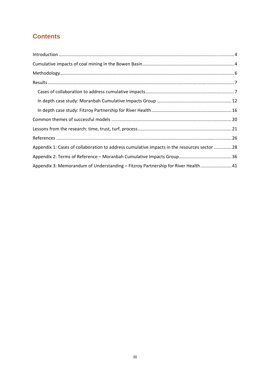# **Contents**

| Appendix 1: Cases of collaboration to address cumulative impacts in the resources sector 28 |  |
|---------------------------------------------------------------------------------------------|--|
|                                                                                             |  |
| Appendix 3: Memorandum of Understanding - Fitzroy Partnership for River Health 41           |  |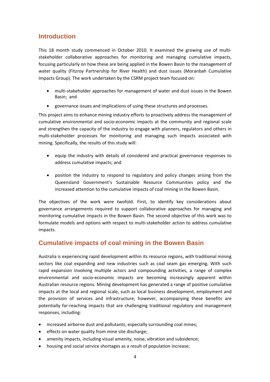# **Introduction**

This 18 month study commenced in October 2010. It examined the growing use of multistakeholder collaborative approaches for monitoring and managing cumulative impacts, focusing particularly on how these are being applied in the Bowen Basin to the management of water quality (Fitzroy Partnership for River Health) and dust issues (Moranbah Cumulative Impacts Group). The work undertaken by the CSRM project team focused on:

- multi‐stakeholder approaches for management of water and dust issues in the Bowen Basin; and
- governance issues and implications of using these structures and processes.

This project aims to enhance mining industry efforts to proactively address the management of cumulative environmental and socio‐economic impacts at the community and regional scale and strengthen the capacity of the industry to engage with planners, regulators and others in multi‐stakeholder processes for monitoring and managing such impacts associated with mining. Specifically, the results of this study will:

- equip the industry with details of considered and practical governance responses to address cumulative impacts; and
- position the industry to respond to regulatory and policy changes arising from the Queensland Government's Sustainable Resource Communities policy and the increased attention to the cumulative impacts of coal mining in the Bowen Basin.

The objectives of the work were twofold. First, to identify key considerations about governance arrangements required to support collaborative approaches for managing and monitoring cumulative impacts in the Bowen Basin. The second objective of this work was to formulate models and options with respect to multi‐stakeholder action to address cumulative impacts.

# **Cumulative impacts of coal mining in the Bowen Basin**

Australia is experiencing rapid development within its resource regions, with traditional mining sectors like coal expanding and new industries such as coal seam gas emerging. With such rapid expansion involving multiple actors and compounding activities, a range of complex environmental and socio‐economic impacts are becoming increasingly apparent within Australian resource regions. Mining development has generated a range of positive cumulative impacts at the local and regional scale, such as local business development, employment and the provision of services and infrastructure, however, accompanying these benefits are potentially far‐reaching impacts that are challenging traditional regulatory and management responses, including:

- increased airborne dust and pollutants, especially surrounding coal mines;
- effects on water quality from mine site discharge;
- amenity impacts, including visual amenity, noise, vibration and subsidence;
- housing and social service shortages as a result of population increase;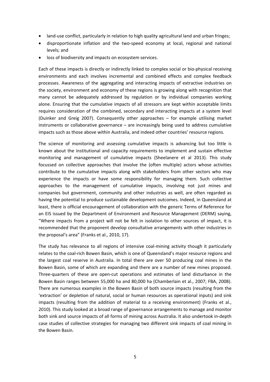- land-use conflict, particularly in relation to high quality agricultural land and urban fringes;
- disproportionate inflation and the two‐speed economy at local, regional and national levels; and
- loss of biodiversity and impacts on ecosystem services.

Each of these impacts is directly or indirectly linked to complex social or bio‐physical receiving environments and each involves incremental and combined effects and complex feedback processes. Awareness of the aggregating and interacting impacts of extractive industries on the society, environment and economy of these regions is growing along with recognition that many cannot be adequately addressed by regulation or by individual companies working alone. Ensuring that the cumulative impacts of all stressors are kept within acceptable limits requires consideration of the combined, secondary and interacting impacts at a system level (Duinker and Greig 2007). Consequently other approaches – for example utilising market instruments or collaborative governance – are increasingly being used to address cumulative impacts such as those above within Australia, and indeed other countries' resource regions.

The science of monitoring and assessing cumulative impacts is advancing but too little is known about the institutional and capacity requirements to implement and sustain effective monitoring and management of cumulative impacts (Sheelanere et al 2013). This study focussed on collective approaches that involve the (often multiple) actors whose activities contribute to the cumulative impacts along with stakeholders from other sectors who may experience the impacts or have some responsibility for managing them. Such collective approaches to the management of cumulative impacts, involving not just mines and companies but government, community and other industries as well, are often regarded as having the potential to produce sustainable development outcomes. Indeed, in Queensland at least, there is official encouragement of collaboration with the generic Terms of Reference for an EIS issued by the Department of Environment and Resource Management (DERM) saying, "Where impacts from a project will not be felt in isolation to other sources of impact, it is recommended that the proponent develop consultative arrangements with other industries in the proposal's area" (Franks et al., 2010, 17).

The study has relevance to all regions of intensive coal-mining activity though it particularly relates to the coal‐rich Bowen Basin, which is one of Queensland's major resource regions and the largest coal reserve in Australia. In total there are over 50 producing coal mines in the Bowen Basin, some of which are expanding and there are a number of new mines proposed. Three‐quarters of these are open‐cut operations and estimates of land disturbance in the Bowen Basin ranges between 55,000 ha and 80,000 ha (Chamberlain et al., 2007; FBA, 2008). There are numerous examples in the Bowen Basin of both source impacts (resulting from the 'extraction' or depletion of natural, social or human resources as operational inputs) and sink impacts (resulting from the addition of material to a receiving environment) (Franks et al., 2010). This study looked at a broad range of governance arrangements to manage and monitor both sink and source impacts of all forms of mining across Australia. It also undertook in‐depth case studies of collective strategies for managing two different sink impacts of coal mining in the Bowen Basin.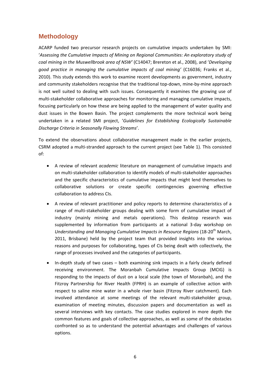# **Methodology**

ACARP funded two precursor research projects on cumulative impacts undertaken by SMI: '*Assessing the Cumulative Impacts of Mining on Regional Communities: An exploratory study of coal mining in the Muswellbrook area of NSW'* (C14047; Brereton et al., 2008), and '*Developing good practice in managing the cumulative impacts of coal mining'* (C16036; Franks et al., 2010). This study extends this work to examine recent developments as government, industry and community stakeholders recognise that the traditional top-down, mine-by-mine approach is not well suited to dealing with such issues. Consequently it examines the growing use of multi‐stakeholder collaborative approaches for monitoring and managing cumulative impacts, focusing particularly on how these are being applied to the management of water quality and dust issues in the Bowen Basin. The project complements the more technical work being undertaken in a related SMI project, '*Guidelines for Establishing Ecologically Sustainable Discharge Criteria in Seasonally Flowing Streams*'.

To extend the observations about collaborative management made in the earlier projects, CSRM adopted a multi‐stranded approach to the current project (see Table 1). This consisted of:

- A review of relevant *academic* literature on management of cumulative impacts and on multi‐stakeholder collaboration to identify models of multi‐stakeholder approaches and the specific characteristics of cumulative impacts that might lend themselves to collaborative solutions or create specific contingencies governing effective collaboration to address CIs.
- A review of relevant practitioner and policy reports to determine characteristics of a range of multi-stakeholder groups dealing with some form of cumulative impact of industry (mainly mining and metals operations). This desktop research was supplemented by information from participants at a national 3-day workshop on *Understanding and Managing Cumulative Impacts in Resource Regions* (18‐20th March, 2011, Brisbane) held by the project team that provided insights into the various reasons and purposes for collaborating, types of CIs being dealt with collectively, the range of processes involved and the categories of participants.
- In-depth study of two cases both examining sink impacts in a fairly clearly defined receiving environment. The Moranbah Cumulative Impacts Group (MCIG) is responding to the impacts of dust on a local scale (the town of Moranbah), and the Fitzroy Partnership for River Health (FPRH) is an example of collective action with respect to saline mine water in a whole river basin (Fitzroy River catchment). Each involved attendance at some meetings of the relevant multi-stakeholder group, examination of meeting minutes, discussion papers and documentation as well as several interviews with key contacts. The case studies explored in more depth the common features and goals of collective approaches, as well as some of the obstacles confronted so as to understand the potential advantages and challenges of various options.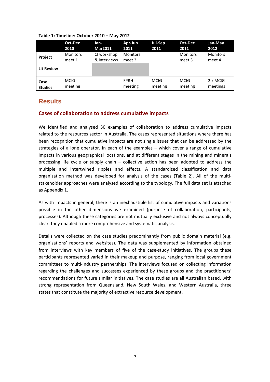|                   | Oct-Dec                   | Jan-                        | Apr-Jun                   | <b>Jul-Sep</b> | Oct-Dec                   | Jan-May                   |
|-------------------|---------------------------|-----------------------------|---------------------------|----------------|---------------------------|---------------------------|
|                   | 2010                      | <b>Mar2011</b>              | 2011                      | 2011           | 2011                      | 2012                      |
| <b>Project</b>    | <b>Monitors</b><br>meet 1 | CI workshop<br>& interviews | <b>Monitors</b><br>meet 2 |                | <b>Monitors</b><br>meet 3 | <b>Monitors</b><br>meet 4 |
| <b>Lit Review</b> |                           |                             |                           |                |                           |                           |
| Case              | <b>MCIG</b>               |                             | <b>FPRH</b>               | <b>MCIG</b>    | <b>MCIG</b>               | 2 x MCIG                  |
| <b>Studies</b>    | meeting                   |                             | meeting                   | meeting        | meeting                   | meetings                  |

#### **Table 1: Timeline: October 2010 – May 2012**

# **Results**

#### **Cases of collaboration to address cumulative impacts**

We identified and analysed 30 examples of collaboration to address cumulative impacts related to the resources sector in Australia. The cases represented situations where there has been recognition that cumulative impacts are not single issues that can be addressed by the strategies of a lone operator. In each of the examples – which cover a range of cumulative impacts in various geographical locations, and at different stages in the mining and minerals processing life cycle or supply chain – collective action has been adopted to address the multiple and intertwined ripples and effects. A standardized classification and data organization method was developed for analysis of the cases (Table 2). All of the multi‐ stakeholder approaches were analysed according to the typology. The full data set is attached as Appendix 1.

As with impacts in general, there is an inexhaustible list of cumulative impacts and variations possible in the other dimensions we examined (purpose of collaboration, participants, processes). Although these categories are not mutually exclusive and not always conceptually clear, they enabled a more comprehensive and systematic analysis.

Details were collected on the case studies predominantly from public domain material (e.g. organisations' reports and websites). The data was supplemented by information obtained from interviews with key members of five of the case-study initiatives. The groups these participants represented varied in their makeup and purpose, ranging from local government committees to multi-industry partnerships. The interviews focused on collecting information regarding the challenges and successes experienced by these groups and the practitioners' recommendations for future similar initiatives. The case studies are all Australian based, with strong representation from Queensland, New South Wales, and Western Australia, three states that constitute the majority of extractive resource development.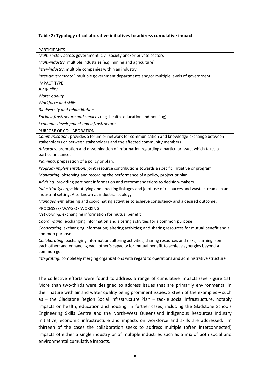#### **Table 2: Typology of collaborative initiatives to address cumulative impacts**

| <b>PARTICIPANTS</b>                                                                                                                                                                                                       |
|---------------------------------------------------------------------------------------------------------------------------------------------------------------------------------------------------------------------------|
| Multi-sector: across government, civil society and/or private sectors                                                                                                                                                     |
| Multi-industry: multiple industries (e.g. mining and agriculture)                                                                                                                                                         |
| Inter-industry: multiple companies within an industry                                                                                                                                                                     |
| Inter-governmental: multiple government departments and/or multiple levels of government                                                                                                                                  |
| <b>IMPACT TYPE</b>                                                                                                                                                                                                        |
| Air quality                                                                                                                                                                                                               |
| Water quality                                                                                                                                                                                                             |
| Workforce and skills                                                                                                                                                                                                      |
| Biodiversity and rehabilitation                                                                                                                                                                                           |
| Social infrastructure and services (e.g. health, education and housing)                                                                                                                                                   |
| Economic development and infrastructure                                                                                                                                                                                   |
| PURPOSE OF COLLABORATION                                                                                                                                                                                                  |
| Communication: provides a forum or network for communication and knowledge exchange between<br>stakeholders or between stakeholders and the affected community members.                                                   |
| Advocacy: promotion and dissemination of information regarding a particular issue, which takes a                                                                                                                          |
| particular stance.                                                                                                                                                                                                        |
| Planning: preparation of a policy or plan.                                                                                                                                                                                |
| Program implementation: joint resource contributions towards a specific initiative or program.                                                                                                                            |
| Monitoring: observing and recording the performance of a policy, project or plan.                                                                                                                                         |
| Advising: providing pertinent information and recommendations to decision-makers.                                                                                                                                         |
| Industrial Synergy: identifying and enacting linkages and joint use of resources and waste streams in an<br>industrial setting. Also known as industrial ecology                                                          |
| Management: altering and coordinating activities to achieve consistency and a desired outcome.                                                                                                                            |
| PROCESSES/ WAYS OF WORKING                                                                                                                                                                                                |
| Networking: exchanging information for mutual benefit                                                                                                                                                                     |
| Coordinating: exchanging information and altering activities for a common purpose                                                                                                                                         |
| Cooperating: exchanging information; altering activities; and sharing resources for mutual benefit and a<br>common purpose                                                                                                |
| Collaborating: exchanging information; altering activities; sharing resources and risks; learning from<br>each other; and enhancing each other's capacity for mutual benefit to achieve synergies beyond a<br>common goal |
| Integrating: completely merging organizations with regard to operations and administrative structure                                                                                                                      |
|                                                                                                                                                                                                                           |

The collective efforts were found to address a range of cumulative impacts (see Figure 1a). More than two-thirds were designed to address issues that are primarily environmental in their nature with air and water quality being prominent issues. Sixteen of the examples – such as – the Gladstone Region Social Infrastructure Plan – tackle social infrastructure, notably impacts on health, education and housing. In further cases, including the Gladstone Schools Engineering Skills Centre and the North‐West Queensland Indigenous Resources Industry Initiative, economic infrastructure and impacts on workforce and skills are addressed. In thirteen of the cases the collaboration seeks to address multiple (often interconnected) impacts of either a single industry or of multiple industries such as a mix of both social and environmental cumulative impacts.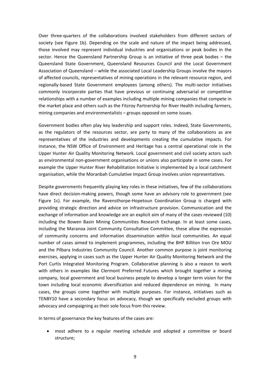Over three‐quarters of the collaborations involved stakeholders from different sectors of society (see Figure 1b). Depending on the scale and nature of the impact being addressed, those involved may represent individual industries and organisations or peak bodies in the sector. Hence the Queensland Partnership Group is an initiative of three peak bodies – the Queensland State Government, Queensland Resources Council and the Local Government Association of Queensland – while the associated Local Leadership Groups involve the mayors of affected councils, representatives of mining operations in the relevant resource region, and regionally‐based State Government employees (among others). The multi‐sector initiatives commonly incorporate parties that have previous or continuing adversarial or competitive relationships with a number of examples including multiple mining companies that compete in the market place and others such as the Fitzroy Partnership for River Health including farmers, mining companies and environmentalists – groups opposed on some issues.

Government bodies often play key leadership and support roles. Indeed, State Governments, as the regulators of the resources sector, are party to many of the collaborations as are representatives of the industries and developments creating the cumulative impacts. For instance, the NSW Office of Environment and Heritage has a central operational role in the Upper Hunter Air Quality Monitoring Network. Local government and civil society actors such as environmental non‐government organisations or unions also participate in some cases. For example the Upper Hunter River Rehabilitation Initiative is implemented by a local catchment organisation, while the Moranbah Cumulative Impact Group involves union representatives.

Despite governments frequently playing key roles in these initiatives, few of the collaborations have direct decision-making powers, though some have an advisory role to government (see Figure 1c). For example, the Ravensthorpe-Hopetoun Coordination Group is charged with providing strategic direction and advice on infrastructure provision. Communication and the exchange of information and knowledge are an explicit aim of many of the cases reviewed (10) including the Bowen Basin Mining Communities Research Exchange. In at least some cases, including the Maranoa Joint Community Consultative Committee, these allow the expression of community concerns and information dissemination within local communities. An equal number of cases aimed to implement programmes, including the BHP Billiton Iron Ore MOU and the Pilbara Industries Community Council. Another common purpose is joint monitoring exercises, applying in cases such as the Upper Hunter Air Quality Monitoring Network and the Port Curtis Integrated Monitoring Program. Collaborative planning is also a reason to work with others in examples like Clermont Preferred Futures which brought together a mining company, local government and local business people to develop a longer term vision for the town including local economic diversification and reduced dependence on mining. In many cases, the groups come together with multiple purposes. For instance, initiatives such as TENBY10 have a secondary focus on advocacy, though we specifically excluded groups with advocacy and campaigning as their sole focus from this review.

In terms of governance the key features of the cases are:

 most adhere to a regular meeting schedule and adopted a committee or board structure;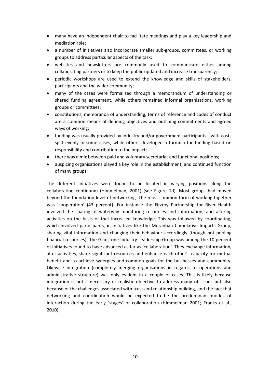- many have an independent chair to facilitate meetings and play a key leadership and mediation role;
- a number of initiatives also incorporate smaller sub-groups, committees, or working groups to address particular aspects of the task;
- websites and newsletters are commonly used to communicate either among collaborating partners or to keep the public updated and increase transparency;
- periodic workshops are used to extend the knowledge and skills of stakeholders, participants and the wider community;
- many of the cases were formalised through a memorandum of understanding or shared funding agreement, while others remained informal organisations, working groups or committees;
- constitutions, memoranda of understanding, terms of reference and codes of conduct are a common means of defining objectives and outlining commitments and agreed ways of working;
- funding was usually provided by industry and/or government participants ‐ with costs split evenly in some cases, while others developed a formula for funding based on responsibility and contribution to the impact;
- there was a mix between paid and voluntary secretariat and functional positions;
- auspicing organisations played a key role in the establishment, and continued function of many groups.

The different initiatives were found to be located in varying positions along the collaboration continuum (Himmelman, 2001) (see Figure 1d). Most groups had moved beyond the foundation level of networking. The most common form of working together was 'cooperation' (43 percent). For instance the Fitzroy Partnership for River Health involved the sharing of waterway monitoring resources and information, and altering activities on the basis of that increased knowledge. This was followed by coordinating, which involved participants, in initiatives like the Moranbah Cumulative Impacts Group, sharing vital information and changing their behaviour accordingly (though not pooling financial resources). The Gladstone Industry Leadership Group was among the 10 percent of initiatives found to have advanced as far as 'collaboration'. They exchange information, alter activities, share significant resources and enhance each other's capacity for mutual benefit and to achieve synergies and common goals for the businesses and community. Likewise integration (completely merging organisations in regards to operations and administrative structure) was only evident in a couple of cases. This is likely because integration is not a necessary or realistic objective to address many of issues but also because of the challenges associated with trust and relationship building, and the fact that networking and coordination would be expected to be the predominant modes of interaction during the early 'stages' of collaboration (Himmelman 2001; Franks et al., 2010).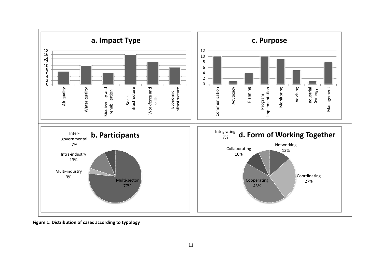

**Figure 1: Distribution of cases according to typology**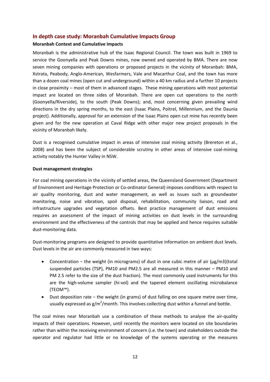#### **In depth case study: Moranbah Cumulative Impacts Group**

#### **Moranbah Context and Cumulative Impacts**

Moranbah is the administrative hub of the Isaac Regional Council. The town was built in 1969 to service the Goonyella and Peak Downs mines, now owned and operated by BMA. There are now seven mining companies with operations or proposed projects in the vicinity of Moranbah: BMA, Xstrata, Peabody, Anglo‐American, Wesfarmers, Vale and Macarthur Coal, and the town has more than a dozen coal mines (open cut and underground) within a 40 km radius and a further 10 projects in close proximity – most of them in advanced stages. These mining operations with most potential impact are located on three sides of Moranbah. There are open cut operations to the north (Goonyella/Riverside), to the south (Peak Downs); and, most concerning given prevailing wind directions in the dry spring months, to the east (Isaac Plains, Poitrel, Millennium, and the Daunia project). Additionally, approval for an extension of the Isaac Plains open cut mine has recently been given and for the new operation at Caval Ridge with other major new project proposals in the vicinity of Moranbah likely.

Dust is a recognised cumulative impact in areas of intensive coal mining activity (Brereton et al., 2008) and has been the subject of considerable scrutiny in other areas of intensive coal‐mining activity notably the Hunter Valley in NSW.

#### **Dust management strategies**

For coal mining operations in the vicinity of settled areas, the Queensland Government (Department of Environment and Heritage Protection or Co-ordinator General) imposes conditions with respect to air quality monitoring, dust and water management, as well as issues such as groundwater monitoring, noise and vibration, spoil disposal, rehabilitation, community liaison, road and infrastructure upgrades and vegetation offsets. Best practice management of dust emissions requires an assessment of the impact of mining activities on dust levels in the surrounding environment and the effectiveness of the controls that may be applied and hence requires suitable dust‐monitoring data.

Dust-monitoring programs are designed to provide quantitative information on ambient dust levels. Dust levels in the air are commonly measured in two ways:

- Concentration − the weight (in micrograms) of dust in one cubic metre of air (μg/m3)(total suspended particles (TSP), PM10 and PM2.5 are all measured in this manner – PM10 and PM 2.5 refer to the size of the dust fraction). The most commonly used instruments for this are the high‐volume sampler (hi‐vol) and the tapered element oscillating microbalance (TEOM™).
- Dust deposition rate − the weight (in grams) of dust falling on one square metre over time, usually expressed as  $g/m^2/m$ onth. This involves collecting dust within a funnel and bottle.

The coal mines near Moranbah use a combination of these methods to analyse the air‐quality impacts of their operations. However, until recently the monitors were located on site boundaries rather than within the receiving environment of concern (i.e. the town) and stakeholders outside the operator and regulator had little or no knowledge of the systems operating or the measures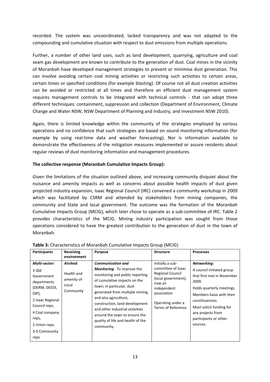recorded. The system was uncoordinated, lacked transparency and was not adapted to the compounding and cumulative situation with respect to dust emissions from multiple operations.

Further, a number of other land uses, such as land development, quarrying, agriculture and coal seam gas development are known to contribute to the generation of dust. Coal mines in the vicinity of Moranbah have developed management strategies to prevent or minimise dust generation. This can involve avoiding certain coal mining activities or restricting such activities to certain areas, certain times or specified conditions (for example blasting). Of course not all dust creation activities can be avoided or restricted at all times and therefore an efficient dust management system requires management controls to be integrated with technical controls ‐ that can adopt three different techniques: containment, suppression and collection (Department of Environment, Climate Change and Water NSW, NSW Department of Planning and Industry, and Investment NSW 2010).

Again, there is limited knowledge within the community of the strategies employed by various operations and no confidence that such strategies are based on sound monitoring information (for example by using real‐time data and weather forecasting). Nor is information available to demonstrate the effectiveness of the mitigation measures implemented or assure residents about regular reviews of dust monitoring information and management procedures.

#### **The collective response (Moranbah Cumulative Impacts Group):**

Given the limitations of the situation outlined above, and increasing community disquiet about the nuisance and amenity impacts as well as concerns about possible health impacts of dust given projected industry expansion, Isaac Regional Council (IRC) convened a community workshop in 2009 which was facilitated by CSRM and attended by stakeholders from mining companies, the community and State and local government. The outcome was the formation of the Moranbah Cumulative Impacts Group (MCIG), which later chose to operate as a sub‐committee of IRC. Table 2 provides characteristics of the MCIG. Mining industry participation was sought from those operations considered to have the greatest contribution to the generation of dust in the town of Moranbah.

| <b>Participants</b>                                                                                                                                                                     | <b>Receiving</b><br>environment                            | <b>Purpose</b>                                                                                                                                                                                                                                                                                                                                                                     | <b>Structure</b>                                                                                                                                                            | <b>Processes</b>                                                                                                                                                                                                                                   |
|-----------------------------------------------------------------------------------------------------------------------------------------------------------------------------------------|------------------------------------------------------------|------------------------------------------------------------------------------------------------------------------------------------------------------------------------------------------------------------------------------------------------------------------------------------------------------------------------------------------------------------------------------------|-----------------------------------------------------------------------------------------------------------------------------------------------------------------------------|----------------------------------------------------------------------------------------------------------------------------------------------------------------------------------------------------------------------------------------------------|
| Multi-sector:<br>3 Qld<br>Government<br>departments<br>(DERM, DEEDI,<br>DIP),<br>2 Isaac Regional<br>Council reps,<br>4 Coal company<br>reps,<br>2 Union reps,<br>3-5 Community<br>reps | Airshed:<br>Health and<br>amenity of<br>Local<br>Community | <b>Communication and</b><br><b>Monitoring:</b> To improve the<br>monitoring and public reporting<br>of cumulative impacts on the<br>town; in particular, dust<br>generated from multiple mining,<br>and also agriculture,<br>construction, land development<br>and other industrial activities<br>around the town to ensure the<br>quality of life and health of the<br>community. | Initially a sub-<br>committee of Isaac<br>Regional Council<br>(local government),<br>now an<br>independent<br>association<br>Operating under a<br><b>Terms of Reference</b> | Networking:<br>A council initiated group<br>that first met in November<br>2009.<br>Holds quarterly meetings.<br>Members liaise with their<br>constituencies.<br>Must solicit funding for<br>any projects from<br>participants or other<br>sources. |

#### **Table 3:** Characteristics of Moranbah Cumulative Impacts Group (MCIG)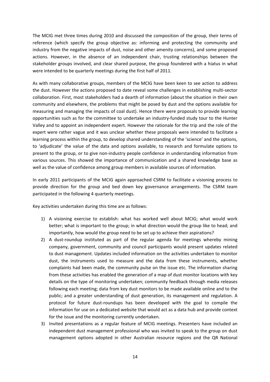The MCIG met three times during 2010 and discussed the composition of the group, their terms of reference (which specify the group objective as: informing and protecting the community and industry from the negative impacts of dust, noise and other amenity concerns), and some proposed actions. However, in the absence of an independent chair, trusting relationships between the stakeholder groups involved, and clear shared purpose, the group foundered with a hiatus in what were intended to be quarterly meetings during the first half of 2011.

As with many collaborative groups, members of the MCIG have been keen to see action to address the dust. However the actions proposed to date reveal some challenges in establishing multi‐sector collaboration. First, most stakeholders had a dearth of information (about the situation in their own community and elsewhere, the problems that might be posed by dust and the options available for measuring and managing the impacts of coal dust). Hence there were proposals to provide learning opportunities such as for the committee to undertake an industry‐funded study tour to the Hunter Valley and to appoint an independent expert. However the rationale for the trip and the role of the expert were rather vague and it was unclear whether these proposals were intended to facilitate a learning process within the group, to develop shared understanding of the 'science' and the options, to 'adjudicate' the value of the data and options available, to research and formulate options to present to the group, or to give non‐industry people confidence in understanding information from various sources. This showed the importance of communication and a shared knowledge base as well as the value of confidence among group members in available sources of information.

In early 2011 participants of the MCIG again approached CSRM to facilitate a visioning process to provide direction for the group and bed down key governance arrangements. The CSRM team participated in the following 4 quarterly meetings.

Key activities undertaken during this time are as follows:

- 1) A visioning exercise to establish: what has worked well about MCIG; what would work better; what is important to the group; in what direction would the group like to head; and importantly, how would the group need to be set up to achieve their aspirations?
- 2) A dust-roundup instituted as part of the regular agenda for meetings whereby mining company, government, community and council participants would present updates related to dust management. Updates included information on the activities undertaken to monitor dust, the instruments used to measure and the data from these instruments, whether complaints had been made, the community pulse on the issue etc. The information sharing from these activities has enabled the generation of a map of dust monitor locations with key details on the type of monitoring undertaken; community feedback through media releases following each meeting; data from key dust monitors to be made available online and to the public; and a greater understanding of dust generation, its management and regulation. A protocol for future dust‐roundups has been developed with the goal to compile the information for use on a dedicated website that would act as a data hub and provide context for the issue and the monitoring currently undertaken.
- 3) Invited presentations as a regular feature of MCIG meetings. Presenters have included an independent dust management professional who was invited to speak to the group on dust management options adopted in other Australian resource regions and the QR National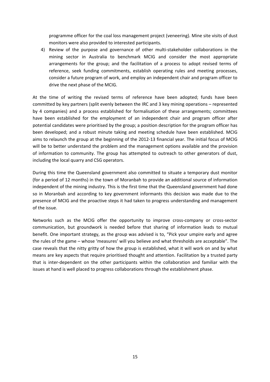programme officer for the coal loss management project (veneering). Mine site visits of dust monitors were also provided to interested participants.

4) Review of the purpose and governance of other multi-stakeholder collaborations in the mining sector in Australia to benchmark MCIG and consider the most appropriate arrangements for the group; and the facilitation of a process to adopt revised terms of reference, seek funding commitments, establish operating rules and meeting processes, consider a future program of work, and employ an independent chair and program officer to drive the next phase of the MCIG.

At the time of writing the revised terms of reference have been adopted; funds have been committed by key partners (split evenly between the IRC and 3 key mining operations – represented by 4 companies) and a process established for formalisation of these arrangements; committees have been established for the employment of an independent chair and program officer after potential candidates were prioritised by the group; a position description for the program officer has been developed; and a robust minute taking and meeting schedule have been established. MCIG aims to relaunch the group at the beginning of the 2012‐13 financial year. The initial focus of MCIG will be to better understand the problem and the management options available and the provision of information to community. The group has attempted to outreach to other generators of dust, including the local quarry and CSG operators.

During this time the Queensland government also committed to situate a temporary dust monitor (for a period of 12 months) in the town of Moranbah to provide an additional source of information independent of the mining industry. This is the first time that the Queensland government had done so in Moranbah and according to key government informants this decision was made due to the presence of MCIG and the proactive steps it had taken to progress understanding and management of the issue.

Networks such as the MCIG offer the opportunity to improve cross‐company or cross‐sector communication, but groundwork is needed before that sharing of information leads to mutual benefit. One important strategy, as the group was advised is to, "Pick your umpire early and agree the rules of the game – whose 'measures' will you believe and what thresholds are acceptable". The case reveals that the nitty gritty of how the group is established, what it will work on and by what means are key aspects that require prioritised thought and attention. Facilitation by a trusted party that is inter‐dependent on the other participants within the collaboration and familiar with the issues at hand is well placed to progress collaborations through the establishment phase.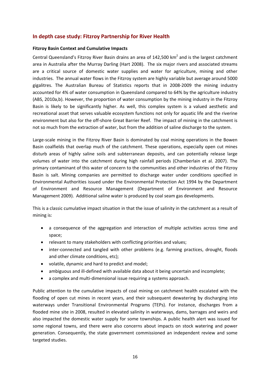#### **In depth case study: Fitzroy Partnership for River Health**

#### **Fitzroy Basin Context and Cumulative Impacts**

Central Queensland's Fitzroy River Basin drains an area of 142,500  $\text{km}^2$  and is the largest catchment area in Australia after the Murray Darling (Hart 2008). The six major rivers and associated streams are a critical source of domestic water supplies and water for agriculture, mining and other industries. The annual water flows in the Fitzroy system are highly variable but average around 5000 gigalitres. The Australian Bureau of Statistics reports that in 2008‐2009 the mining industry accounted for 4% of water consumption in Queensland compared to 64% by the agriculture industry (ABS, 2010a,b). However, the proportion of water consumption by the mining industry in the Fitzroy Basin is likely to be significantly higher. As well, this complex system is a valued aesthetic and recreational asset that serves valuable ecosystem functions not only for aquatic life and the riverine environment but also for the off-shore Great Barrier Reef. The impact of mining in the catchment is not so much from the extraction of water, but from the addition of saline discharge to the system.

Large-scale mining in the Fitzroy River Basin is dominated by coal mining operations in the Bowen Basin coalfields that overlap much of the catchment. These operations, especially open cut mines disturb areas of highly saline soils and subterranean deposits, and can potentially release large volumes of water into the catchment during high rainfall periods (Chamberlain et al. 2007). The primary contaminant of this water of concern to the communities and other industries of the Fitzroy Basin is salt. Mining companies are permitted to discharge water under conditions specified in Environmental Authorities issued under the Environmental Protection Act 1994 by the Department of Environment and Resource Management (Department of Environment and Resource Management 2009). Additional saline water is produced by coal seam gas developments.

This is a classic cumulative impact situation in that the issue of salinity in the catchment as a result of mining is:

- a consequence of the aggregation and interaction of multiple activities across time and space;
- relevant to many stakeholders with conflicting priorities and values;
- inter-connected and tangled with other problems (e.g. farming practices, drought, floods and other climate conditions, etc);
- volatile, dynamic and hard to predict and model;
- ambiguous and ill-defined with available data about it being uncertain and incomplete;
- a complex and multi‐dimensional issue requiring a systems approach.

Public attention to the cumulative impacts of coal mining on catchment health escalated with the flooding of open cut mines in recent years, and their subsequent dewatering by discharging into waterways under Transitional Environmental Programs (TEPs). For instance, discharges from a flooded mine site in 2008, resulted in elevated salinity in waterways, dams, barrages and weirs and also impacted the domestic water supply for some townships. A public health alert was issued for some regional towns, and there were also concerns about impacts on stock watering and power generation. Consequently, the state government commissioned an independent review and some targeted studies.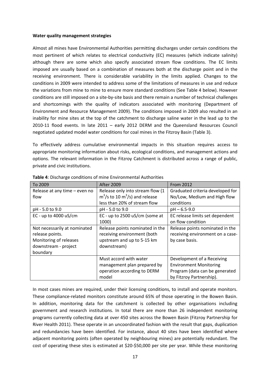#### **Water quality management strategies**

Almost all mines have Environmental Authorities permitting discharges under certain conditions the most pertinent of which relates to electrical conductivity (EC) measures (which indicate salinity) although there are some which also specify associated stream flow conditions. The EC limits imposed are usually based on a combination of measures both at the discharge point and in the receiving environment. There is considerable variability in the limits applied. Changes to the conditions in 2009 were intended to address some of the limitations of measures in use and reduce the variations from mine to mine to ensure more standard conditions (See Table 4 below). However conditions are still imposed on a site‐by‐site basis and there remain a number of technical challenges and shortcomings with the quality of indicators associated with monitoring (Department of Environment and Resource Management 2009). The conditions imposed in 2009 also resulted in an inability for mine sites at the top of the catchment to discharge saline water in the lead up to the 2010‐11 flood events. In late 2011 – early 2012 DERM and the Queensland Resources Council negotiated updated model water conditions for coal mines in the Fitzroy Basin (Table 3).

To effectively address cumulative environmental impacts in this situation requires access to appropriate monitoring information about risks, ecological conditions, and management actions and options. The relevant information in the Fitzroy Catchment is distributed across a range of public, private and civic institutions.

| To 2009                               | <b>After 2009</b>                                                                              | <b>From 2012</b>                                                 |
|---------------------------------------|------------------------------------------------------------------------------------------------|------------------------------------------------------------------|
| Release at any time - even no<br>flow | Release only into stream flow (1<br>$\text{m}^3/\text{s}$ to 10 m <sup>3</sup> /s) and release | Graduated criteria developed for<br>No/Low, Medium and High flow |
|                                       | less than 20% of stream flow                                                                   | conditions                                                       |
| pH - 5.0 to 9.0                       | pH - 5.0 to 9.0                                                                                | $pH - 6.5 - 9.0$                                                 |
| EC - up to $4000 \text{ uS/cm}$       | EC - up to 2500 uS/cm (some at                                                                 | EC release limits set dependent                                  |
|                                       | 1000)                                                                                          | on flow condition                                                |
| Not necessarily at nominated          | Release points nominated in the                                                                | Release points nominated in the                                  |
| release points.                       | receiving environment (both                                                                    | receiving environment on a case-                                 |
| Monitoring of releases                | upstream and up to 5-15 km                                                                     | by case basis.                                                   |
| downstream - project                  | downstream)                                                                                    |                                                                  |
| boundary                              |                                                                                                |                                                                  |
|                                       | Must accord with water                                                                         | Development of a Receiving                                       |
|                                       | management plan prepared by                                                                    | <b>Environment Monitoring</b>                                    |
|                                       | operation according to DERM                                                                    | Program (data can be generated                                   |
|                                       | model                                                                                          | by Fitzroy Partnership).                                         |

**Table 4**: Discharge conditions of mine Environmental Authorities

In most cases mines are required, under their licensing conditions, to install and operate monitors. These compliance‐related monitors constitute around 65% of those operating in the Bowen Basin. In addition, monitoring data for the catchment is collected by other organisations including government and research institutions. In total there are more than 26 independent monitoring programs currently collecting data at over 450 sites across the Bowen Basin (Fitzroy Partnership for River Health 2011). These operate in an uncoordinated fashion with the result that gaps, duplication and redundancies have been identified. For instance, about 40 sites have been identified where adjacent monitoring points (often operated by neighbouring mines) are potentially redundant. The cost of operating these sites is estimated at \$20‐\$50,000 per site per year. While these monitoring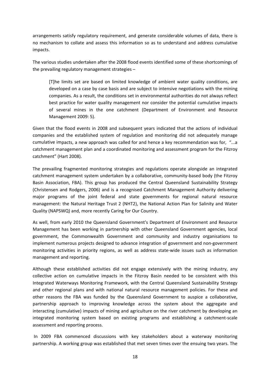arrangements satisfy regulatory requirement, and generate considerable volumes of data, there is no mechanism to collate and assess this information so as to understand and address cumulative impacts.

The various studies undertaken after the 2008 flood events identified some of these shortcomings of the prevailing regulatory management strategies –

[T]he limits set are based on limited knowledge of ambient water quality conditions, are developed on a case by case basis and are subject to intensive negotiations with the mining companies. As a result, the conditions set in environmental authorities do not always reflect best practice for water quality management nor consider the potential cumulative impacts of several mines in the one catchment (Department of Environment and Resource Management 2009: 5).

Given that the flood events in 2008 and subsequent years indicated that the actions of individual companies and the established system of regulation and monitoring did not adequately manage cumulative impacts, a new approach was called for and hence a key recommendation was for, "...a catchment management plan and a coordinated monitoring and assessment program for the Fitzroy catchment" (Hart 2008).

The prevailing fragmented monitoring strategies and regulations operate alongside an integrated catchment management system undertaken by a collaborative, community-based body (the Fitzroy Basin Association, FBA). This group has produced the Central Queensland Sustainability Strategy (Christensen and Rodgers, 2006) and is a recognised Catchment Management Authority delivering major programs of the joint federal and state governments for regional natural resource management: the Natural Heritage Trust 2 (NHT2), the National Action Plan for Salinity and Water Quality (NAPSWQ) and, more recently Caring for Our Country.

As well, from early 2010 the Queensland Government's Department of Environment and Resource Management has been working in partnership with other Queensland Government agencies, local government, the Commonwealth Government and community and industry organisations to implement numerous projects designed to advance integration of government and non‐government monitoring activities in priority regions, as well as address state-wide issues such as information management and reporting.

Although these established activities did not engage extensively with the mining industry, any collective action on cumulative impacts in the Fitzroy Basin needed to be consistent with this Integrated Waterways Monitoring Framework, with the Central Queensland Sustainability Strategy and other regional plans and with national natural resource management policies. For these and other reasons the FBA was funded by the Queensland Government to auspice a collaborative, partnership approach to improving knowledge across the system about the aggregate and interacting (cumulative) impacts of mining and agriculture on the river catchment by developing an integrated monitoring system based on existing programs and establishing a catchment‐scale assessment and reporting process.

In 2009 FBA commenced discussions with key stakeholders about a waterway monitoring partnership. A working group was established that met seven times over the ensuing two years. The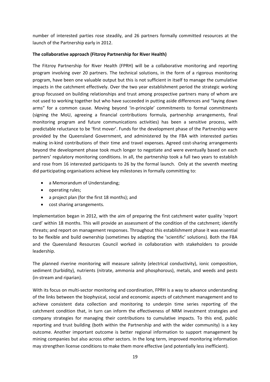number of interested parties rose steadily, and 26 partners formally committed resources at the launch of the Partnership early in 2012.

#### **The collaborative approach (Fitzroy Partnership for River Health)**

The Fitzroy Partnership for River Health (FPRH) will be a collaborative monitoring and reporting program involving over 20 partners. The technical solutions, in the form of a rigorous monitoring program, have been one valuable output but this is not sufficient in itself to manage the cumulative impacts in the catchment effectively. Over the two year establishment period the strategic working group focussed on building relationships and trust among prospective partners many of whom are not used to working together but who have succeeded in putting aside differences and "laying down arms" for a common cause. Moving beyond 'in‐principle' commitments to formal commitments (signing the MoU, agreeing a financial contributions formula, partnership arrangements, final monitoring program and future communications activities) has been a sensitive process, with predictable reluctance to be 'first mover'. Funds for the development phase of the Partnership were provided by the Queensland Government, and administered by the FBA with interested parties making in-kind contributions of their time and travel expenses. Agreed cost-sharing arrangements beyond the development phase took much longer to negotiate and were eventually based on each partners' regulatory monitoring conditions. In all, the partnership took a full two years to establish and rose from 16 interested participants to 26 by the formal launch. Only at the seventh meeting did participating organisations achieve key milestones in formally committing to:

- a Memorandum of Understanding;
- operating rules;
- a project plan (for the first 18 months); and
- cost sharing arrangements.

Implementation began in 2012, with the aim of preparing the first catchment water quality 'report card' within 18 months. This will provide an assessment of the condition of the catchment; identify threats; and report on management responses. Throughout this establishment phase it was essential to be flexible and build ownership (sometimes by adapting the 'scientific' solutions). Both the FBA and the Queensland Resources Council worked in collaboration with stakeholders to provide leadership.

The planned riverine monitoring will measure salinity (electrical conductivity), ionic composition, sediment (turbidity), nutrients (nitrate, ammonia and phosphorous), metals, and weeds and pests (in‐stream and riparian).

With its focus on multi-sector monitoring and coordination, FPRH is a way to advance understanding of the links between the biophysical, social and economic aspects of catchment management and to achieve consistent data collection and monitoring to underpin time series reporting of the catchment condition that, in turn can inform the effectiveness of NRM investment strategies and company strategies for managing their contributions to cumulative impacts. To this end, public reporting and trust building (both within the Partnership and with the wider community) is a key outcome. Another important outcome is better regional information to support management by mining companies but also across other sectors. In the long term, improved monitoring information may strengthen license conditions to make them more effective (and potentially less inefficient).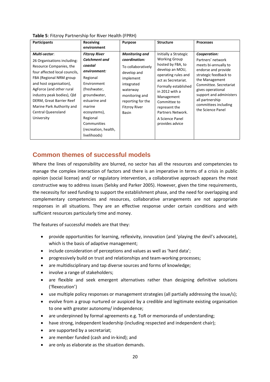| <b>Participants</b>                                                                                                                                                                                                                                                                                                          | Receiving<br>environment                                                                                                                                                                                                                         | <b>Purpose</b>                                                                                                                                                                             | <b>Structure</b>                                                                                                                                                                                                                                                                        | <b>Processes</b>                                                                                                                                                                                                                                                      |
|------------------------------------------------------------------------------------------------------------------------------------------------------------------------------------------------------------------------------------------------------------------------------------------------------------------------------|--------------------------------------------------------------------------------------------------------------------------------------------------------------------------------------------------------------------------------------------------|--------------------------------------------------------------------------------------------------------------------------------------------------------------------------------------------|-----------------------------------------------------------------------------------------------------------------------------------------------------------------------------------------------------------------------------------------------------------------------------------------|-----------------------------------------------------------------------------------------------------------------------------------------------------------------------------------------------------------------------------------------------------------------------|
| Multi-sector:<br>26 Organisations including:<br>Resource Companies, the<br>four affected local councils,<br>FBA (Regional NRM group<br>and host organisation),<br>AgForce (and other rural<br>industry peak bodies), Qld<br>DERM, Great Barrier Reef<br>Marine Park Authority and<br><b>Central Queensland</b><br>University | <b>Fitzroy River</b><br><b>Catchment and</b><br>coastal<br>environment:<br>Regional<br>Environment<br>(freshwater,<br>groundwater,<br>estuarine and<br>marine<br>ecosystems),<br>Regional<br>Communities<br>(recreation, health,<br>livelihoods) | <b>Monitoring and</b><br>coordination:<br>To collaboratively<br>develop and<br>implement<br>integrated<br>waterway<br>monitoring and<br>reporting for the<br><b>Fitzroy River</b><br>Basin | Initially a Strategic<br><b>Working Group</b><br>hosted by FBA, to<br>develop an MOU,<br>operating rules and<br>act as Secretariat.<br>Formally established<br>in 2012 with a<br>Management<br>Committee to<br>represent the<br>Partners Network.<br>A Science Panel<br>provides advice | Cooperation:<br>Partners' network<br>meets bi-annually to<br>endorse and provide<br>strategic feedback to<br>the Management<br>Committee. Secretariat<br>gives operational<br>support and administers<br>all partnership<br>committees including<br>the Science Panel |

#### **Table 5**: Fitzroy Partnership for River Health (FPRH)

# **Common themes of successful models**

Where the lines of responsibility are blurred, no sector has all the resources and competencies to manage the complex interaction of factors and there is an imperative in terms of a crisis in public opinion (social license) and/ or regulatory intervention, a collaborative approach appears the most constructive way to address issues (Selsky and Parker 2005). However, given the time requirements, the necessity for seed funding to support the establishment phase, and the need for overlapping and complementary competencies and resources, collaborative arrangements are not appropriate responses in all situations. They are an effective response under certain conditions and with sufficient resources particularly time and money.

The features of successful models are that they:

- provide opportunities for learning, reflexivity, innovation (and 'playing the devil's advocate), which is the basis of adaptive management;
- include consideration of perceptions and values as well as 'hard data';
- progressively build on trust and relationships and team-working processes;
- are multidisciplinary and tap diverse sources and forms of knowledge;
- involve a range of stakeholders;
- are flexible and seek emergent alternatives rather than designing definitive solutions ('flexecution')
- use multiple policy responses or management strategies (all partially addressing the issue/s);
- evolve from a group nurtured or auspiced by a credible and legitimate existing organisation to one with greater autonomy/ independence;
- are underpinned by formal agreements e.g. ToR or memoranda of understanding;
- have strong, independent leadership (including respected and independent chair);
- are supported by a secretariat;
- are member funded (cash and in-kind); and
- are only as elaborate as the situation demands.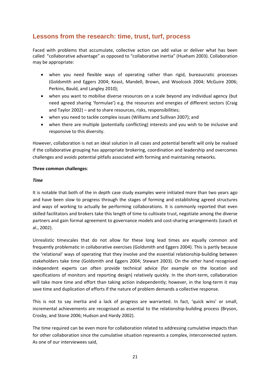# **Lessons from the research: time, trust, turf, process**

Faced with problems that accumulate, collective action can add value or deliver what has been called "collaborative advantage" as opposed to "collaborative inertia" (Huxham 2003). Collaboration may be appropriate:

- when you need flexible ways of operating rather than rigid, bureaucratic processes (Goldsmith and Eggers 2004; Keast, Mandell, Brown, and Woolcock 2004; McGuire 2006; Perkins, Bauld, and Langley 2010);
- when you want to mobilise diverse resources on a scale beyond any individual agency (but need agreed sharing 'formulae') e.g. the resources and energies of different sectors (Craig and Taylor 2002) – and to share resources, risks, responsibilities;
- when you need to tackle complex issues (Williams and Sullivan 2007); and
- when there are multiple (potentially conflicting) interests and you wish to be inclusive and responsive to this diversity.

However, collaboration is not an ideal solution in all cases and potential benefit will only be realised if the collaborative grouping has appropriate brokering, coordination and leadership and overcomes challenges and avoids potential pitfalls associated with forming and maintaining networks.

#### **Three common challenges**:

#### *Time*

It is notable that both of the in depth case study examples were initiated more than two years ago and have been slow to progress through the stages of forming and establishing agreed structures and ways of working to actually be performing collaborations. It is commonly reported that even skilled facilitators and brokers take this length of time to cultivate trust, negotiate among the diverse partners and gain formal agreement to governance models and cost-sharing arrangements (Leach et al., 2002).

Unrealistic timescales that do not allow for these long lead times are equally common and frequently problematic in collaborative exercises (Goldsmith and Eggers 2004). This is partly because the 'relational' ways of operating that they involve and the essential relationship‐building between stakeholders take time (Goldsmith and Eggers 2004; Stewart 2003). On the other hand recognised independent experts can often provide technical advice (for example on the location and specifications of monitors and reporting design) relatively quickly. In the short-term, collaboration will take more time and effort than taking action independently; however, in the long-term it may save time and duplication of efforts if the nature of problem demands a collective response.

This is not to say inertia and a lack of progress are warranted. In fact, 'quick wins' or small, incremental achievements are recognised as essential to the relationship‐building process (Bryson, Crosby, and Stone 2006; Hudson and Hardy 2002).

The time required can be even more for collaboration related to addressing cumulative impacts than for other collaboration since the cumulative situation represents a complex, interconnected system. As one of our interviewees said,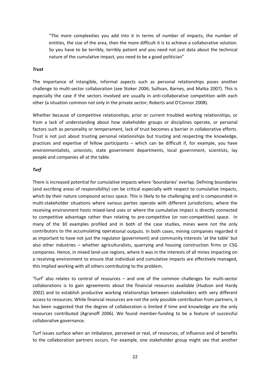"The more complexities you add into it in terms of number of impacts, the number of entities, the size of the area, then the more difficult it is to achieve a collaborative solution. So you have to be terribly, terribly patient and you need not just data about the technical nature of the cumulative impact, you need to be a good politician"

#### *Trust*

The importance of intangible, informal aspects such as personal relationships poses another challenge to multi‐sector collaboration (see Stoker 2006; Sullivan, Barnes, and Matka 2007). This is especially the case if the sectors involved are usually in anti-collaborative competition with each other (a situation common not only in the private sector; Roberts and O'Connor 2008).

Whether because of competitive relationships, prior or current troubled working relationships, or from a lack of understanding about how stakeholder groups or disciplines operate, or personal factors such as personality or temperament, lack of trust becomes a barrier in collaborative efforts. Trust is not just about trusting personal relationships but trusting and respecting the knowledge, practices and expertise of fellow participants – which can be difficult if, for example, you have environmentalists, unionists, state government departments, local government, scientists, lay people and companies all at the table.

#### *Turf*

There is increased potential for cumulative impacts where 'boundaries' overlap. Defining boundaries (and ascribing areas of responsibility) can be critical especially with respect to cumulative impacts, which by their nature compound across space. This is likely to be challenging and is compounded in multi‐stakeholder situations where various parties operate with different jurisdictions, where the receiving environment hosts mixed‐land uses or where the cumulative impact is directly connected to competitive advantage rather than relating to pre-competitive (or non-competitive) space. In many of the 30 examples profiled and in both of the case studies, mines were not the only contributors to the accumulating operational outputs. In both cases, mining companies regarded it as important to have not just the regulator (government) and community interests 'at the table' but also other industries – whether agriculturalists, quarrying and housing construction firms or CSG companies. Hence, in mixed land‐use regions, where it was in the interests of all mines impacting on a receiving environment to ensure that individual and cumulative impacts are effectively managed, this implied working with all others contributing to the problem.

'Turf' also relates to control of resources – and one of the common challenges for multi‐sector collaborations is to gain agreements about the financial resources available (Hudson and Hardy 2002) and to establish productive working relationships between stakeholders with very different access to resources. While financial resources are not the only possible contribution from partners, it has been suggested that the degree of collaboration is limited if time and knowledge are the only resources contributed (Agranoff 2006). We found member‐funding to be a feature of successful collaborative governance.

Turf issues surface when an imbalance, perceived or real, of resources, of influence and of benefits to the collaboration partners occurs. For example, one stakeholder group might see that another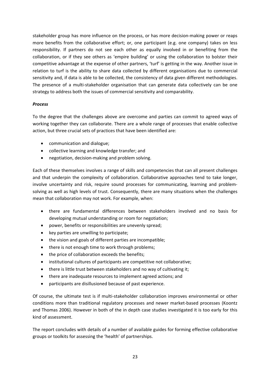stakeholder group has more influence on the process, or has more decision-making power or reaps more benefits from the collaborative effort; or, one participant (e.g. one company) takes on less responsibility. If partners do not see each other as equally involved in or benefiting from the collaboration, or if they see others as 'empire building' or using the collaboration to bolster their competitive advantage at the expense of other partners, 'turf' is getting in the way. Another issue in relation to turf is the ability to share data collected by different organisations due to commercial sensitivity and, if data is able to be collected, the consistency of data given different methodologies. The presence of a multi-stakeholder organisation that can generate data collectively can be one strategy to address both the issues of commercial sensitivity and comparability.

#### *Process*

To the degree that the challenges above are overcome and parties can commit to agreed ways of working together they can collaborate. There are a whole range of processes that enable collective action, but three crucial sets of practices that have been identified are:

- communication and dialogue;
- collective learning and knowledge transfer; and
- negotiation, decision-making and problem solving.

Each of these themselves involves a range of skills and competencies that can all present challenges and that underpin the complexity of collaboration. Collaborative approaches tend to take longer, involve uncertainty and risk, require sound processes for communicating, learning and problemsolving as well as high levels of trust. Consequently, there are many situations when the challenges mean that collaboration may not work. For example, when:

- there are fundamental differences between stakeholders involved and no basis for developing mutual understanding or room for negotiation;
- power, benefits or responsibilities are unevenly spread;
- key parties are unwilling to participate;
- the vision and goals of different parties are incompatible;
- there is not enough time to work through problems;
- the price of collaboration exceeds the benefits;
- institutional cultures of participants are competitive not collaborative;
- there is little trust between stakeholders and no way of cultivating it;
- there are inadequate resources to implement agreed actions; and
- participants are disillusioned because of past experience.

Of course, the ultimate test is if multi‐stakeholder collaboration improves environmental or other conditions more than traditional regulatory processes and newer market‐based processes (Koontz and Thomas 2006). However in both of the in depth case studies investigated it is too early for this kind of assessment.

The report concludes with details of a number of available guides for forming effective collaborative groups or toolkits for assessing the 'health' of partnerships.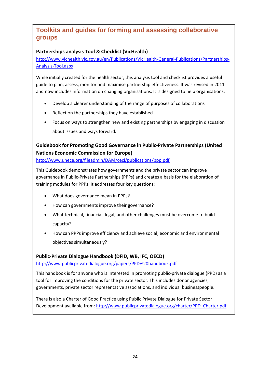# **Toolkits and guides for forming and assessing collaborative groups**

#### **Partnerships analysis Tool & Checklist (VicHealth)**

http://www.vichealth.vic.gov.au/en/Publications/VicHealth‐General‐Publications/Partnerships‐ Analysis‐Tool.aspx

While initially created for the health sector, this analysis tool and checklist provides a useful guide to plan, assess, monitor and maximise partnership effectiveness. It was revised in 2011 and now includes information on changing organisations. It is designed to help organisations:

- Develop a clearer understanding of the range of purposes of collaborations
- Reflect on the partnerships they have established
- Focus on ways to strengthen new and existing partnerships by engaging in discussion about issues and ways forward.

## **Guidebook for Promoting Good Governance in Public‐Private Partnerships (United Nations Economic Commission for Europe)**

http://www.unece.org/fileadmin/DAM/ceci/publications/ppp.pdf

This Guidebook demonstrates how governments and the private sector can improve governance in Public‐Private Partnerships (PPPs) and creates a basis for the elaboration of training modules for PPPs. It addresses four key questions:

- What does governance mean in PPPs?
- How can governments improve their governance?
- What technical, financial, legal, and other challenges must be overcome to build capacity?
- How can PPPs improve efficiency and achieve social, economic and environmental objectives simultaneously?

#### **Public‐Private Dialogue Handbook (DFID, WB, IFC, OECD)**

http://www.publicprivatedialogue.org/papers/PPD%20handbook.pdf

This handbook is for anyone who is interested in promoting public‐private dialogue (PPD) as a tool for improving the conditions for the private sector. This includes donor agencies, governments, private sector representative associations, and individual businesspeople.

There is also a Charter of Good Practice using Public Private Dialogue for Private Sector Development available from: http://www.publicprivatedialogue.org/charter/PPD\_Charter.pdf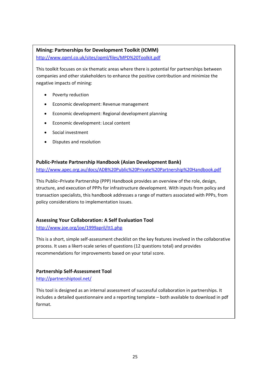#### **Mining: Partnerships for Development Toolkit (ICMM)**

http://www.opml.co.uk/sites/opml/files/MPD%20Toolkit.pdf

This toolkit focuses on six thematic areas where there is potential for partnerships between companies and other stakeholders to enhance the positive contribution and minimize the negative impacts of mining:

- Poverty reduction
- Economic development: Revenue management
- Economic development: Regional development planning
- Economic development: Local content
- Social investment
- Disputes and resolution

#### **Public‐Private Partnership Handbook (Asian Development Bank)**

http://www.apec.org.au/docs/ADB%20Public%20Private%20Partnership%20Handbook.pdf

This Public–Private Partnership (PPP) Handbook provides an overview of the role, design, structure, and execution of PPPs for infrastructure development. With inputs from policy and transaction specialists, this handbook addresses a range of matters associated with PPPs, from policy considerations to implementation issues.

#### **Assessing Your Collaboration: A Self Evaluation Tool**

#### http://www.joe.org/joe/1999april/tt1.php

This is a short, simple self‐assessment checklist on the key features involved in the collaborative process. It uses a likert‐scale series of questions (12 questions total) and provides recommendations for improvements based on your total score.

#### **Partnership Self‐Assessment Tool**

http://partnershiptool.net/

This tool is designed as an internal assessment of successful collaboration in partnerships. It includes a detailed questionnaire and a reporting template – both available to download in pdf format.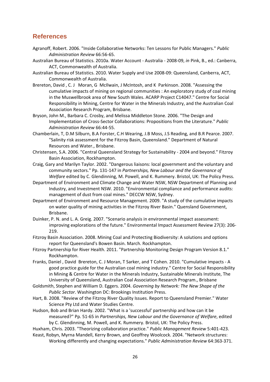## **References**

- Agranoff, Robert. 2006. "Inside Collaborative Networks: Ten Lessons for Public Managers." *Public Administration Review* 66:56‐65.
- Australian Bureau of Statistics. 2010a. Water Account ‐ Australia ‐ 2008‐09, *in* Pink, B., ed.: Canberra, ACT, Commonwealth of Australia.
- Australian Bureau of Statistics. 2010. Water Supply and Use 2008‐09: Queensland, Canberra, ACT, Commonwealth of Australia.
- Brereton, David, C. J Moran, G McIlwain, J McIntosh, and K Parkinson. 2008. "Assessing the cumulative impacts of mining on regional communities : An exploratory study of coal mining in the Muswellbrook area of New South Wales. ACARP Project C14047." Centre for Social Responsibility in Mining, Centre for Water in the Minerals Industry, and the Australian Coal Association Research Program, Brisbane.
- Bryson, John M., Barbara C. Crosby, and Melissa Middleton Stone. 2006. "The Design and Implementation of Cross‐Sector Collaborations: Propositions from the Literature." *Public Administration Review* 66:44‐55.
- Chamberlain, T, D.M Silburn, B.A Forster, C.H Wearing, J.B Moss, J.S Reading, and B.R Pearce. 2007. "Salinity risk assessment for the Fitzroy Basin, Queensland." Department of Natural Resources and Water., Brisbane.
- Christensen, S.A. 2006. "Central Queensland Strategy for Sustainability ‐ 2004 and beyond." Fitzroy Basin Association, Rockhampton.
- Craig, Gary and Marilyn Taylor. 2002. "Dangerous liaisons: local government and the voluntary and community sectors." Pp. 131‐147 in *Partnerships, New Labour and the Governance of Welfare* edited by C. Glendinning, M. Powell, and K. Rummery. Bristol, UK: The Policy Press.
- Department of Environment and Climate Change and Water NSW, NSW Department of Planning and Industry, and Investment NSW. 2010. "Environmental compliance and performance audits: management of dust from coal mines." DECCW NSW, Sydney.
- Department of Environment and Resource Management. 2009. "A study of the cumulative impacts on water quality of mining activities in the Fitzroy River Basin." Quensland Government, Brisbane.
- Duinker, P. N. and L. A. Greig. 2007. "Scenario analysis in environmental impact assessment: improving explorations of the future." Environmental Impact Assessment Review 27(3): 206‐ 219.
- Fitzroy Basin Association. 2008. Mining Coal and Protecting Biodiversity: A solutions and options report for Queensland's Bowen Basin. March. Rockhampton.
- Fitzroy Partnership for River Health. 2011. "Partnership Monitoring Design Program Version 8.1." Rockhampton.
- Franks, Daniel , David Brereton, C. J Moran, T Sarker, and T Cohen. 2010. "Cumulative impacts ‐ A good practice guide for the Australian coal mining industry." Centre for Social Responsibility in Mining & Centre for Water in the Minerals Industry, Sustainable Minerals Institute, The University of Queensland, Australian Coal Association Research Program., Brisbane
- Goldsmith, Stephen and William D. Eggers. 2004. *Governing by Network: The New Shape of the Public Sector*. Washington DC: Brookings Institution Press.
- Hart, B. 2008. "Review of the Fitzroy River Quality Issues. Report to Queensland Premier." Water Science Pty Ltd and Water Studies Centre.
- Hudson, Bob and Brian Hardy. 2002. "What is a 'successful' partnership and how can it be measured?" Pp. 51‐65 in *Partnerships, New Labour and the Governance of Welfare*, edited by C. Glendinning, M. Powell, and K. Rummery. Bristol, UK: The Policy Press.

Huxham, Chris. 2003. "Theorizing collaboration practice." *Public Management Review* 5:401‐423. Keast, Robyn, Myrna Mandell, Kerry Brown, and Geoffrey Woolcock. 2004. "Network structures:

Working differently and changing expectations." *Public Administration Review* 64:363‐371.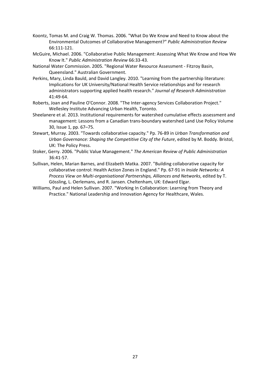- Koontz, Tomas M. and Craig W. Thomas. 2006. "What Do We Know and Need to Know about the Environmental Outcomes of Collaborative Management?" *Public Administration Review* 66:111‐121.
- McGuire, Michael. 2006. "Collaborative Public Management: Assessing What We Know and How We Know It." *Public Administration Review* 66:33‐43.
- National Water Commission. 2005. "Regional Water Resource Assessment ‐ Fitzroy Basin, Queensland." Australian Government.
- Perkins, Mary, Linda Bauld, and David Langley. 2010. "Learning from the partnership literature: Implications for UK University/National Health Service relationships and for research administrators supporting applied health research." *Journal of Research Administration* 41:49‐64.
- Roberts, Joan and Pauline O'Connor. 2008. "The Inter‐agency Services Collaboration Project." Wellesley Institute Advancing Urban Health, Toronto.
- Sheelanere et al. 2013. Institutional requirements for watershed cumulative effects assessment and management: Lessons from a Canadian trans‐boundary watershed Land Use Policy Volume 30, Issue 1, pp. 67–75.
- Stewart, Murray. 2003. "Towards collaborative capacity." Pp. 76‐89 in *Urban Transformation and Urban Governance: Shaping the Competitive City of the Future*, edited by M. Boddy. Bristol, UK: The Policy Press.
- Stoker, Gerry. 2006. "Public Value Management." *The American Review of Public Administration* 36:41‐57.
- Sullivan, Helen, Marian Barnes, and Elizabeth Matka. 2007. "Building collaborative capacity for collaborative control: Health Action Zones in England." Pp. 67‐91 in *Inside Networks: A Process View on Multi‐organisational Partnerships, Alliances and Networks*, edited by T. Gössling, L. Oerlemans, and R. Jansen. Cheltenham, UK: Edward Elgar.
- Williams, Paul and Helen Sullivan. 2007. "Working In Collaboration: Learning from Theory and Practice." National Leadership and Innovation Agency for Healthcare, Wales.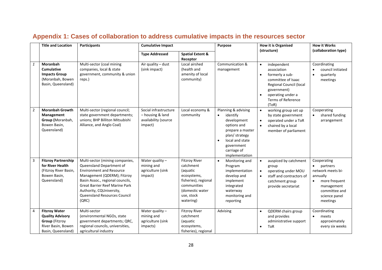|                | <b>Title and Location</b>                                                                                            | <b>Participants</b>                                                                                                                                                                                                                                                                    | <b>Cumulative Impact</b>                                                     |                                                                                                                                                   |                                                                                                                                                                                   | <b>How it is Organised</b>                                                                                                                                                                                      | <b>How it Works</b>                                                                                                                                |
|----------------|----------------------------------------------------------------------------------------------------------------------|----------------------------------------------------------------------------------------------------------------------------------------------------------------------------------------------------------------------------------------------------------------------------------------|------------------------------------------------------------------------------|---------------------------------------------------------------------------------------------------------------------------------------------------|-----------------------------------------------------------------------------------------------------------------------------------------------------------------------------------|-----------------------------------------------------------------------------------------------------------------------------------------------------------------------------------------------------------------|----------------------------------------------------------------------------------------------------------------------------------------------------|
|                |                                                                                                                      |                                                                                                                                                                                                                                                                                        | <b>Type Addressed</b>                                                        | <b>Spatial Extent &amp;</b><br>Receptor                                                                                                           |                                                                                                                                                                                   | (structure)                                                                                                                                                                                                     | (collaboration type)                                                                                                                               |
| 1              | Moranbah<br>Cumulative<br><b>Impacts Group</b><br>(Moranbah, Bowen<br>Basin, Queensland)                             | Multi-sector (coal mining<br>companies, local & state<br>government, community & union<br>reps.)                                                                                                                                                                                       | Air quality - dust<br>(sink impact)                                          | Local airshed<br>(health and<br>amenity of local<br>community)                                                                                    | Communication &<br>management                                                                                                                                                     | independent<br>$\bullet$<br>association<br>formerly a sub-<br>$\bullet$<br>committee of Isaac<br>Regional Council (local<br>government)<br>operating under a<br>$\bullet$<br><b>Terms of Reference</b><br>(TOR) | Coordinating<br>council initiated<br>quarterly<br>$\bullet$<br>meetings                                                                            |
| $\overline{2}$ | <b>Moranbah Growth</b><br>Management<br>Group (Moranbah,<br>Bowen Basin,<br>Queensland)                              | Multi-sector (regional council;<br>state government departments;<br>unions; BHP Billiton Mitsubishi<br>Alliance, and Anglo Coal)                                                                                                                                                       | Social infrastructure<br>- housing & land<br>availability (source<br>impact) | Local economy &<br>community                                                                                                                      | Planning & advising<br>identify<br>$\bullet$<br>development<br>options and<br>prepare a master<br>plan/strategy<br>local and state<br>government<br>carriage of<br>implementation | working group set up<br>$\bullet$<br>by state government<br>operated under a ToR<br>chaired by a local<br>member of parliament                                                                                  | Cooperating<br>shared funding<br>arrangement                                                                                                       |
| 3              | <b>Fitzroy Partnership</b><br>for River Health<br>(Fitzroy River Basin,<br>Bowen Basin,<br>Queensland)               | Multi-sector (mining companies,<br>Queensland Department of<br><b>Environment and Resource</b><br>Management (QDERM); Fitzroy<br>Basin Assoc., regional councils,<br><b>Great Barrier Reef Marine Park</b><br>Authority, CQUniversity,<br><b>Queensland Resources Council</b><br>(QRC) | Water quality $-$<br>mining and<br>agriculture (sink<br>impact)              | <b>Fitzroy River</b><br>catchment<br>(aquatic<br>ecosystems,<br>fisheries), regional<br>communities<br>(domestic water<br>use, stock<br>watering) | Monitoring and<br>Program<br>implementation<br>develop and<br>implement<br>integrated<br>waterway<br>monitoring and<br>reporting                                                  | auspiced by catchment<br>group<br>operating under MOU<br>$\bullet$<br>staff and contractors of<br>catchment group<br>provide secretariat                                                                        | Cooperating<br>partners<br>network meets bi-<br>annually<br>more frequent<br>$\bullet$<br>management<br>committee and<br>science panel<br>meetings |
| 4              | <b>Fitzroy Water</b><br><b>Quality Advisory</b><br><b>Group (Fitzroy</b><br>River Basin, Bowen<br>Basin, Queensland) | Multi-sector<br>(environmental NGOs, state<br>government departments; QRC,<br>regional councils, universities,<br>agricultural industry                                                                                                                                                | Water quality $-$<br>mining and<br>agriculture (sink<br>impacts)             | <b>Fitzroy River</b><br>catchment<br>(aquatic<br>ecosystems,<br>fisheries), regional                                                              | Advising                                                                                                                                                                          | <b>QDERM</b> chairs group<br>$\bullet$<br>and provides<br>administrative support<br><b>ToR</b><br>$\bullet$                                                                                                     | Coordinating<br>meets<br>$\bullet$<br>approximately<br>every six weeks                                                                             |

# **Appendix 1: Cases of collaboration to address cumulative impacts in the resources sector**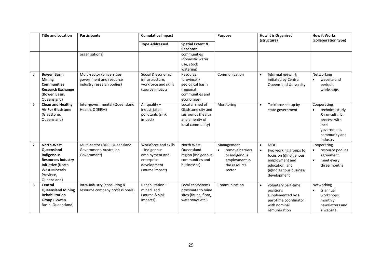|                | <b>Title and Location</b>                                                                                                                           | <b>Participants</b>                                                                 | <b>Cumulative Impact</b>                                                                               |                                                                                                   | <b>How it is Organised</b><br>Purpose<br>(structure)                                                   |                                                                                                                                                                       | <b>How it Works</b>                                                                                                   |
|----------------|-----------------------------------------------------------------------------------------------------------------------------------------------------|-------------------------------------------------------------------------------------|--------------------------------------------------------------------------------------------------------|---------------------------------------------------------------------------------------------------|--------------------------------------------------------------------------------------------------------|-----------------------------------------------------------------------------------------------------------------------------------------------------------------------|-----------------------------------------------------------------------------------------------------------------------|
|                |                                                                                                                                                     |                                                                                     | <b>Type Addressed</b>                                                                                  | <b>Spatial Extent &amp;</b><br>Receptor                                                           |                                                                                                        |                                                                                                                                                                       | (collaboration type)                                                                                                  |
|                |                                                                                                                                                     | organisations)                                                                      |                                                                                                        | communities<br>(domestic water<br>use, stock<br>watering)                                         |                                                                                                        |                                                                                                                                                                       |                                                                                                                       |
| 5              | <b>Bowen Basin</b><br><b>Mining</b><br><b>Communities</b><br><b>Research Exchange</b><br>(Bowen Basin,<br>Queensland)                               | Multi-sector (universities;<br>government and resource<br>industry research bodies) | Social & economic<br>infrastructure,<br>workforce and skills<br>(source impacts)                       | Resource<br>'province' /<br>geological basin<br>(regional<br>communities and<br>economies)        | Communication                                                                                          | informal network<br>$\bullet$<br>initiated by Central<br><b>Queensland University</b>                                                                                 | Networking<br>website and<br>$\bullet$<br>periodic<br>workshops                                                       |
| 6              | <b>Clean and Healthy</b><br><b>Air For Gladstone</b><br>(Gladstone,<br>Queensland)                                                                  | Inter-governmental (Queensland<br>Health, QDERM)                                    | Air quality $-$<br>industrial air<br>pollutants (sink<br>impact)                                       | Local airshed of<br>Gladstone city and<br>surrounds (health<br>and amenity of<br>local community) | Monitoring                                                                                             | Taskforce set up by<br>$\bullet$<br>state government                                                                                                                  | Cooperating<br>technical study<br>& consultative<br>process with<br>local<br>government,<br>community and<br>industry |
| $\overline{7}$ | <b>North-West</b><br>Queensland<br>Indigenous<br><b>Resources Industry</b><br>Initiative (North<br><b>West Minerals</b><br>Province,<br>Queensland) | Multi-sector (QRC, Queensland<br>Government, Australian<br>Government)              | Workforce and skills<br>- Indigenous<br>employment and<br>enterprise<br>development<br>(source impact) | North West<br>Queensland<br>region (Indigenous<br>communities and<br>businesses)                  | Management<br>remove barriers<br>$\bullet$<br>to indigenous<br>employment in<br>the resource<br>sector | <b>MOU</b><br>$\bullet$<br>two working groups to<br>$\bullet$<br>focus on (i)Indigenous<br>employment and<br>education, and<br>(ii)Indigenous business<br>development | Cooperating<br>resource pooling<br>agreement<br>meet every<br>$\bullet$<br>three months                               |
| 8              | Central<br><b>Queensland Mining</b><br><b>Rehabilitation</b><br>Group (Bowen<br>Basin, Queensland)                                                  | Intra-industry (consulting &<br>resource company professionals)                     | Rehabilitation-<br>mined land<br>(source & sink)<br>impacts)                                           | Local ecosystems<br>proximate to mine<br>sites (fauna, flora,<br>waterways etc.)                  | Communication                                                                                          | voluntary part-time<br>$\bullet$<br>positions<br>supplemented by a<br>part-time coordinator<br>with nominal<br>remuneration                                           | Networking<br>triannual<br>workshops,<br>monthly<br>newsletters and<br>a website                                      |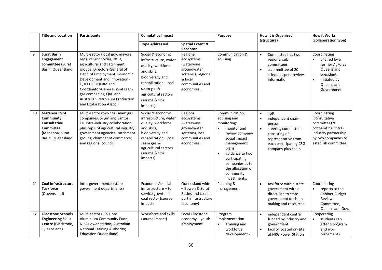|    | <b>Title and Location</b>                                                                                      | <b>Participants</b>                                                                                                                                                                                                                                                                                                                         | <b>Cumulative Impact</b>                                                                                                                                                                         |                                                                                                                         | Purpose                                                                                                                                                                                                                                      | <b>How it is Organised</b><br>(structure)                                                                                                                                                          | <b>How it Works</b><br>(collaboration type)                                                                                                 |
|----|----------------------------------------------------------------------------------------------------------------|---------------------------------------------------------------------------------------------------------------------------------------------------------------------------------------------------------------------------------------------------------------------------------------------------------------------------------------------|--------------------------------------------------------------------------------------------------------------------------------------------------------------------------------------------------|-------------------------------------------------------------------------------------------------------------------------|----------------------------------------------------------------------------------------------------------------------------------------------------------------------------------------------------------------------------------------------|----------------------------------------------------------------------------------------------------------------------------------------------------------------------------------------------------|---------------------------------------------------------------------------------------------------------------------------------------------|
|    |                                                                                                                |                                                                                                                                                                                                                                                                                                                                             | <b>Type Addressed</b>                                                                                                                                                                            | <b>Spatial Extent &amp;</b><br>Receptor                                                                                 |                                                                                                                                                                                                                                              |                                                                                                                                                                                                    |                                                                                                                                             |
| 9  | <b>Surat Basin</b><br>Engagement<br>committee (Surat<br>Basin, Queensland)                                     | Multi-sector (local gov. mayors;<br>reps. of landholder, NGO,<br>agricultural and catchment<br>groups; Directors-General of<br>Dept. of Employment, Economic<br>Development and Innovation -<br>QDEEDI, QDERM and<br>Coordinator-General; coal seam<br>gas companies; QRC and<br>Australian Petroleum Production<br>and Exploration Assoc.) | Social & economic<br>infrastructure, water<br>quality, workforce<br>and skills,<br>biodiversity and<br>rehabilitation - coal<br>seam gas &<br>agricultural sectors<br>(source & sink<br>impacts) | Regional<br>ecosystems,<br>(waterways,<br>groundwater<br>systems), regional<br>& local<br>communities and<br>economies. | Communication &<br>advising                                                                                                                                                                                                                  | Committee has two<br>$\bullet$<br>regional sub<br>committees<br>a committee of 20<br>$\bullet$<br>scientists peer reviews<br>information                                                           | Coordinating<br>chaired by a<br>former AgForce<br>Queensland<br>president<br>initiated by<br>$\bullet$<br>Queensland<br>Government          |
| 10 | Maranoa Joint<br>Community<br><b>Consultative</b><br><b>Committee</b><br>(Mananoa, Surat<br>Basin, Queensland) | Multi-sector (two coal seam gas<br>companies, origin and Santos,<br>i.e. intra-industry collaboration;<br>plus reps. of agricultural industry;<br>government agencies; catchment<br>groups; chamber of commerce;<br>and regional council)                                                                                                   | Social & economic<br>infrastructure, water<br>quality, workforce<br>and skills,<br>biodiversity and<br>rehabilitation - coal<br>seam gas &<br>agricultural sectors<br>(source & sink<br>impacts) | Regional<br>ecosystems,<br>(waterways,<br>groundwater<br>systems), local<br>communities and<br>economies.               | Communication,<br>advising and<br>monitoring:<br>monitor and<br>review company<br>social impact<br>management<br>plans<br>guidance to two<br>$\bullet$<br>participating<br>companies as to<br>the allocation of<br>community<br>investments. | <b>ToR</b><br>$\bullet$<br>independent chair-<br>$\bullet$<br>person<br>steering committee<br>$\bullet$<br>consisting of a<br>representative from<br>each participating CSG<br>company plus chair. | Coordinating<br>(consultative<br>committee) &<br>cooperating (intra-<br>industry partnership<br>by two companies to<br>establish committee) |
| 11 | <b>Coal Infrastructure</b><br><b>Taskforce</b><br>(Queensland)                                                 | Inter-governmental (state<br>government departments)                                                                                                                                                                                                                                                                                        | Economic & social<br>infrastructure - to<br>service growth in<br>coal sector (source<br>impact)                                                                                                  | Queensland wide<br>- Bowen & Surat<br>Basins and coastal<br>port infrastructure<br>(economy)                            | Planning &<br>management                                                                                                                                                                                                                     | taskforce within state<br>$\bullet$<br>government with a<br>direct line to state<br>government decision-<br>making and resources.                                                                  | Coordinating<br>reports to the<br>Cabinet Budget<br>Review<br>Committee,<br>Queensland Gov.                                                 |
| 12 | <b>Gladstone Schools</b><br><b>Engineering Skills</b><br>Centre (Gladstone,<br>Queensland)                     | Multi-sector (Rio Tinto<br>Aluminium Community Fund;<br>NRG Power station; Australian<br><b>National Training Authority;</b><br><b>Education Queensland).</b>                                                                                                                                                                               | Workforce and skills<br>(source impact)                                                                                                                                                          | Local Gladstone<br>economy - youth<br>employment                                                                        | Program<br>implementation<br>Training and<br>workforce<br>development -                                                                                                                                                                      | independent centre<br>$\bullet$<br>funded by industry and<br>government<br>facility located on-site<br>$\bullet$<br>at NRG Power Station                                                           | Cooperating<br>students can<br>$\bullet$<br>attend program<br>and work<br>placements                                                        |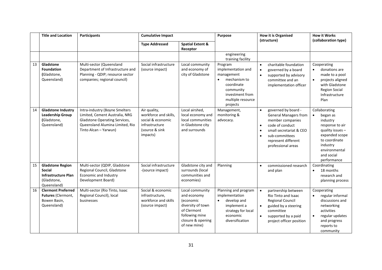|    | <b>Title and Location</b>                                                                            | <b>Participants</b>                                                                                                                                                  | <b>Cumulative Impact</b>                                                                                   |                                                                                                                                        | Purpose                                                                                                                                                 | <b>How it is Organised</b>                                                                                                                                                                                                  | <b>How it Works</b>                                                                                                                                                                    |
|----|------------------------------------------------------------------------------------------------------|----------------------------------------------------------------------------------------------------------------------------------------------------------------------|------------------------------------------------------------------------------------------------------------|----------------------------------------------------------------------------------------------------------------------------------------|---------------------------------------------------------------------------------------------------------------------------------------------------------|-----------------------------------------------------------------------------------------------------------------------------------------------------------------------------------------------------------------------------|----------------------------------------------------------------------------------------------------------------------------------------------------------------------------------------|
|    |                                                                                                      |                                                                                                                                                                      | <b>Type Addressed</b>                                                                                      | <b>Spatial Extent &amp;</b><br>Receptor                                                                                                |                                                                                                                                                         | (structure)                                                                                                                                                                                                                 | (collaboration type)                                                                                                                                                                   |
|    |                                                                                                      |                                                                                                                                                                      |                                                                                                            |                                                                                                                                        | engineering<br>training facility                                                                                                                        |                                                                                                                                                                                                                             |                                                                                                                                                                                        |
| 13 | Gladstone<br><b>Foundation</b><br>(Gladstone,<br>Queensland)                                         | Multi-sector (Queensland<br>Department of Infrastructure and<br>Planning - QDIP; resource sector<br>companies; regional council)                                     | Social infrastructure<br>(source impact)                                                                   | Local community<br>and economy of<br>city of Gladstone                                                                                 | Program<br>implementation and<br>management<br>mechanism to<br>$\bullet$<br>coordinate<br>community<br>investment from<br>multiple resource<br>projects | charitable foundation<br>$\bullet$<br>governed by a board<br>$\bullet$<br>supported by advisory<br>$\bullet$<br>committee and an<br>implementation officer                                                                  | Cooperating<br>donations are<br>$\bullet$<br>made to a pool<br>$\bullet$<br>projects aligned<br>with Gladstone<br><b>Region Social</b><br>Infrastructure<br>Plan                       |
| 14 | <b>Gladstone Industry</b><br><b>Leadership Group</b><br>(Gladstone,<br>Queensland)                   | Intra-industry (Boyne Smelters<br>Limited, Cement Australia, NRG<br><b>Gladstone Operating Services,</b><br>Queensland Alumina Limited, Rio<br>Tinto Alcan - Yarwun) | Air quality,<br>workforce and skills,<br>social & economic<br>infrastructure<br>(source & sink<br>impacts) | Local airshed,<br>local economy and<br>local communities<br>in Gladstone city<br>and surrounds                                         | Management,<br>monitoring &<br>advocacy.                                                                                                                | governed by board -<br><b>General Managers from</b><br>member companies<br>code of conduct<br>$\bullet$<br>small secretariat & CEO<br>$\bullet$<br>sub-committees<br>$\bullet$<br>represent different<br>professional areas | Collaborating<br>began as<br>$\bullet$<br>industry<br>response to air<br>quality issues -<br>expanded scope<br>to coordinate<br>industry<br>environmental<br>and social<br>performance |
| 15 | <b>Gladstone Region</b><br><b>Social</b><br><b>Infrastructure Plan</b><br>(Gladstone,<br>Queensland) | Multi-sector (QDIP, Gladstone<br>Regional Council, Gladstone<br>Economic and Industry<br>Development Board)                                                          | Social infrastructure<br>-(source impact)                                                                  | Gladstone city and<br>surrounds (local<br>communities and<br>economies)                                                                | Planning                                                                                                                                                | commissioned research<br>$\bullet$<br>and plan                                                                                                                                                                              | Coordinating<br>18 months<br>$\bullet$<br>research and<br>planning process                                                                                                             |
| 16 | <b>Clermont Preferred</b><br>Futures (Clermont,<br>Bowen Basin,<br>Queensland)                       | Multi-sector (Rio Tinto, Isaac<br>Regional Council), local<br>businesses                                                                                             | Social & economic<br>infrastructure,<br>workforce and skills<br>(source impact)                            | Local community<br>and economy<br>(economic<br>diversity of town<br>of Clermont<br>following mine<br>closure & opening<br>of new mine) | Planning and program<br>implementation<br>develop and<br>$\bullet$<br>implement a<br>strategy for local<br>economic<br>diversification                  | partnership between<br>Rio Tinto and Isaac<br>Regional Council<br>guided by a steering<br>committee<br>supported by a paid<br>project officer position                                                                      | Cooperating<br>regular informal<br>discussions and<br>networking<br>activities<br>regular updates<br>$\bullet$<br>and progress<br>reports to<br>community                              |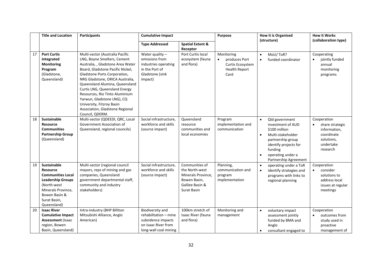|    | <b>Title and Location</b>                                                                                                                                             | <b>Participants</b>                                                                                                                                                                                                                                                                                                                                                                                                              | <b>Cumulative Impact</b>                                                                                        |                                                                                                          | Purpose                                                                         | <b>How it is Organised</b>                                                                                                                                                                                 | <b>How it Works</b>                                                                                              |
|----|-----------------------------------------------------------------------------------------------------------------------------------------------------------------------|----------------------------------------------------------------------------------------------------------------------------------------------------------------------------------------------------------------------------------------------------------------------------------------------------------------------------------------------------------------------------------------------------------------------------------|-----------------------------------------------------------------------------------------------------------------|----------------------------------------------------------------------------------------------------------|---------------------------------------------------------------------------------|------------------------------------------------------------------------------------------------------------------------------------------------------------------------------------------------------------|------------------------------------------------------------------------------------------------------------------|
|    |                                                                                                                                                                       |                                                                                                                                                                                                                                                                                                                                                                                                                                  | <b>Type Addressed</b>                                                                                           | <b>Spatial Extent &amp;</b>                                                                              |                                                                                 | (structure)                                                                                                                                                                                                | (collaboration type)                                                                                             |
|    |                                                                                                                                                                       |                                                                                                                                                                                                                                                                                                                                                                                                                                  |                                                                                                                 | Receptor                                                                                                 |                                                                                 |                                                                                                                                                                                                            |                                                                                                                  |
| 17 | <b>Port Curtis</b><br>Integrated<br><b>Monitoring</b><br>Program<br>(Gladstone,<br>Queensland)                                                                        | Multi-sector (Australia Pacific<br>LNG, Boyne Smelters, Cement<br>Australia, , Gladstone Area Water<br>Board, Gladstone Pacific Nickel,<br>Gladstone Ports Corporation,<br>NRG Gladstone, ORICA Australia,<br>Queensland Alumina, Queensland<br>Curtis LNG, Queensland Energy<br>Resources, Rio Tinto Aluminium<br>Yarwun, Gladstone LNG), CQ<br>University, Fitzroy Basin<br>Association, Gladstone Regional<br>Council, QDERM. | Water quality $-$<br>emissions from<br>industries operating<br>in the Port of<br>Gladstone (sink<br>impact)     | Port Curtis local<br>ecosystem (fauna<br>and flora)                                                      | Monitoring<br>produces Port<br>Curtis Ecosystem<br><b>Health Report</b><br>Card | MoU/ToR?<br>$\bullet$<br>funded coordinator<br>$\bullet$                                                                                                                                                   | Cooperating<br>jointly funded<br>annual<br>monitoring<br>programs                                                |
| 18 | <b>Sustainable</b><br><b>Resource</b><br><b>Communities</b><br><b>Partnership Group</b><br>(Queensland)                                                               | Multi-sector (QDEEDI, QRC, Local<br>Government Association of<br>Queensland, regional councils)                                                                                                                                                                                                                                                                                                                                  | Social infrastructure.<br>workforce and skills<br>(source impact)                                               | Queensland<br>resource<br>communities and<br>local economies                                             | Program<br>implementation and<br>communication                                  | Qld government<br>$\bullet$<br>investment of AUD<br>\$100 million<br>Multi-stakeholder<br>$\bullet$<br>partnership group<br>identify projects for<br>funding<br>operating under a<br>Partnership Agreement | Cooperation<br>share strategic<br>$\bullet$<br>information,<br>coordinate<br>solutions,<br>undertake<br>research |
| 19 | Sustainable<br>Resource<br><b>Communities Local</b><br><b>Leadership Groups</b><br>(North-west)<br>Minerals Province,<br>Bowen Basin &<br>Surat Basin,<br>Queensland) | Multi-sector (regional council<br>mayors, reps of mining and gas<br>companies, Queensland<br>government departmental staff,<br>community and industry<br>stakeholders)                                                                                                                                                                                                                                                           | Social infrastructure,<br>workforce and skills<br>(source impact)                                               | Communities of<br>the North-west<br>Minerals Province,<br>Bowen Basin,<br>Galilee Basin &<br>Surat Basin | Planning,<br>communication and<br>program<br>implementation                     | operating under a ToR<br>$\bullet$<br>identify strategies and<br>$\bullet$<br>programs with links to<br>regional planning                                                                                  | Cooperation<br>consider<br>$\bullet$<br>solutions to<br>address local<br>issues at regular<br>meetings           |
| 20 | <b>Isaac River</b><br><b>Cumulative Impact</b><br><b>Assessment (Isaac</b><br>region, Bowen<br>Basin, Queensland)                                                     | Intra-industry (BHP Billiton<br>Mitsubishi Alliance, Anglo<br>American)                                                                                                                                                                                                                                                                                                                                                          | Biodiversity and<br>rehabilitation - mine<br>subsidence impacts<br>on Isaac River from<br>long-wall coal mining | 100km stretch of<br>Isaac River (fauna<br>and flora)                                                     | Monitoring and<br>management                                                    | voluntary impact<br>$\bullet$<br>assessment jointly<br>funded by BMA and<br>Anglo<br>consultant engaged to                                                                                                 | Cooperation<br>outcomes from<br>study used in<br>proactive<br>management of                                      |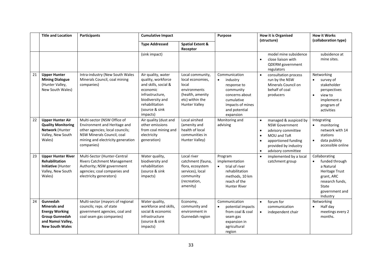|    | <b>Title and Location</b>                                                                                                        | Participants                                                                                                                                                                    | <b>Cumulative Impact</b>                                                                                                                                            |                                                                                                                              | Purpose<br><b>How it is Organised</b><br>(structure)                                                                                                 |                                                                                                                                                                                                                           | <b>How it Works</b><br>(collaboration type)                                                                                                   |
|----|----------------------------------------------------------------------------------------------------------------------------------|---------------------------------------------------------------------------------------------------------------------------------------------------------------------------------|---------------------------------------------------------------------------------------------------------------------------------------------------------------------|------------------------------------------------------------------------------------------------------------------------------|------------------------------------------------------------------------------------------------------------------------------------------------------|---------------------------------------------------------------------------------------------------------------------------------------------------------------------------------------------------------------------------|-----------------------------------------------------------------------------------------------------------------------------------------------|
|    |                                                                                                                                  |                                                                                                                                                                                 | <b>Type Addressed</b>                                                                                                                                               | <b>Spatial Extent &amp;</b><br>Receptor                                                                                      |                                                                                                                                                      |                                                                                                                                                                                                                           |                                                                                                                                               |
|    |                                                                                                                                  |                                                                                                                                                                                 | (sink impact)                                                                                                                                                       |                                                                                                                              |                                                                                                                                                      | model mine subsidence<br>close liaison with<br>$\bullet$<br>QDERM government<br>regulators                                                                                                                                | subsidence at<br>mine sites.                                                                                                                  |
| 21 | <b>Upper Hunter</b><br><b>Mining Dialogue</b><br>(Hunter Valley,<br>New South Wales)                                             | Intra-industry (New South Wales<br>Minerals Council, coal mining<br>companies)                                                                                                  | Air quality, water<br>quality, workforce<br>and skills, social &<br>economic<br>infrastructure,<br>biodiversity and<br>rehabilitation<br>(source & sink<br>impacts) | Local community,<br>local economies,<br>local<br>environments<br>(health, amenity<br>etc) within the<br><b>Hunter Valley</b> | Communication<br>$\bullet$<br>industry<br>response to<br>community<br>concerns about<br>cumulative<br>impacts of mines<br>and potential<br>expansion | $\bullet$<br>consultation process<br>run by the NSW<br>Minerals Council on<br>behalf of coal<br>producers                                                                                                                 | Networking<br>survey of<br>stakeholder<br>perspectives<br>view to<br>$\bullet$<br>implement a<br>program of<br>activities                     |
| 22 | <b>Upper Hunter Air</b><br><b>Quality Monitoring</b><br>Network (Hunter<br>Valley, New South<br>Wales)                           | Multi-sector (NSW Office of<br>Environment and Heritage and<br>other agencies; local councils;<br>NSW Minerals Council, coal<br>mining and electricity generation<br>companies) | Air quality (dust and<br>other emissions<br>from coal mining and<br>electricity<br>generation)                                                                      | Local airshed<br>(amenity and<br>health of local<br>communities in<br>Hunter Valley)                                         | Monitoring and<br>advising                                                                                                                           | managed & auspiced by<br>$\bullet$<br><b>NSW Government</b><br>advisory committee<br>$\bullet$<br>MOU and ToR<br>$\bullet$<br>apportioned funding<br>$\bullet$<br>provided by industry<br>advisory committee<br>$\bullet$ | Integrating<br>monitoring<br>$\bullet$<br>network with 14<br>stations<br>data publicly<br>$\bullet$<br>accessible online                      |
| 23 | <b>Upper Hunter River</b><br><b>Rehabilitation</b><br>Initiative (Hunter<br>Valley, New South<br>Wales)                          | Multi-Sector (Hunter-Central<br><b>Rivers Catchment Management</b><br>Authority; NSW government<br>agencies; coal companies and<br>electricity generators)                      | Water quality,<br>biodiversity and<br>rehabilitation<br>(source & sink<br>impacts)                                                                                  | Local river<br>catchment (fauna,<br>flora, ecosystem<br>services), local<br>community<br>(recreation,<br>amenity)            | Program<br>implementation<br>$\bullet$<br>trial of river<br>rehabilitation<br>methods, 10 km<br>reach of the<br><b>Hunter River</b>                  | implemented by a local<br>$\bullet$<br>catchment group                                                                                                                                                                    | Collaborating<br>funded through<br>a Natural<br><b>Heritage Trust</b><br>grant, ARC<br>research funds,<br>State<br>government and<br>Industry |
| 24 | Gunnedah<br><b>Minerals and</b><br><b>Energy Working</b><br><b>Group Gunnedah</b><br>and Namoi Valley,<br><b>New South Wales</b> | Multi-sector (mayors of regional<br>councils; reps. of state<br>government agencies, coal and<br>coal seam gas companies)                                                       | Water quality,<br>workforce and skills,<br>social & economic<br>infrastructure<br>(source & sink<br>impacts)                                                        | Economy,<br>community and<br>environment in<br>Gunnedah region                                                               | Communication<br>potential impacts<br>from coal & coal<br>seam gas<br>expansion in<br>agricultural<br>region                                         | forum for<br>$\bullet$<br>communication<br>independent chair<br>$\bullet$                                                                                                                                                 | Networking<br>Half day<br>$\bullet$<br>meetings every 2<br>months.                                                                            |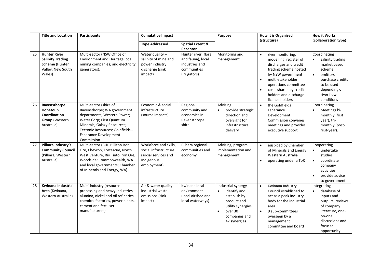|    | <b>Title and Location</b>                                                                       | <b>Participants</b>                                                                                                                                                                                                                | <b>Cumulative Impact</b>                                                                            |                                                                                           | Purpose                                                                                                                                            | <b>How it is Organised</b><br>(structure)                                                                                                                                                                                                                                    | <b>How it Works</b><br>(collaboration type)                                                                                                                        |
|----|-------------------------------------------------------------------------------------------------|------------------------------------------------------------------------------------------------------------------------------------------------------------------------------------------------------------------------------------|-----------------------------------------------------------------------------------------------------|-------------------------------------------------------------------------------------------|----------------------------------------------------------------------------------------------------------------------------------------------------|------------------------------------------------------------------------------------------------------------------------------------------------------------------------------------------------------------------------------------------------------------------------------|--------------------------------------------------------------------------------------------------------------------------------------------------------------------|
|    |                                                                                                 |                                                                                                                                                                                                                                    | <b>Type Addressed</b>                                                                               | <b>Spatial Extent &amp;</b><br>Receptor                                                   |                                                                                                                                                    |                                                                                                                                                                                                                                                                              |                                                                                                                                                                    |
| 25 | <b>Hunter River</b><br><b>Salinity Trading</b><br>Scheme (Hunter<br>Valley, New South<br>Wales) | Multi-sector (NSW Office of<br>Environment and Heritage; coal<br>mining companies; and electricity<br>generators).                                                                                                                 | Water quality $-$<br>salinity of mine and<br>power industry<br>discharge (sink<br>impact)           | Hunter river (flora<br>and fauna), local<br>industries and<br>communities<br>(irrigators) | Monitoring and<br>management                                                                                                                       | river monitoring,<br>$\bullet$<br>modelling, register of<br>discharges and credit<br>trading scheme hosted<br>by NSW government<br>multi-stakeholder<br>$\bullet$<br>operations committee<br>costs shared by credit<br>$\bullet$<br>holders and discharge<br>licence holders | Coordinating<br>salinity trading<br>market based<br>scheme<br>emitters<br>$\bullet$<br>purchase credits<br>to be used<br>depending on<br>river flow<br>conditions  |
| 26 | Ravensthorpe<br>Hopetoun<br>Coordination<br><b>Group (Western</b><br>Australia)                 | Multi-sector (shire of<br>Ravensthorpe; WA government<br>departments; Western Power;<br>Water Corp; First Quantum<br>Minerals; Galaxy Resources;<br>Tectonic Resources; Goldfields -<br><b>Esperance Development</b><br>Commission | Economic & social<br>infrastructure<br>(source impacts)                                             | Regional<br>community and<br>economies in<br>Ravensthorpe<br>shire                        | Advising<br>provide strategic<br>direction and<br>oversight for<br>infrastructure<br>delivery                                                      | the Goldfields<br>Esperance<br>Development<br><b>Commission convenes</b><br>meetings and provides<br>executive support                                                                                                                                                       | Coordinating<br>Meetings bi-<br>monthly (first<br>year), tri-<br>monthly (post-<br>first-year).                                                                    |
| 27 | Pilbara Industry's<br><b>Community Council</b><br>(Pilbara, Western<br>Australia)               | Multi-sector (BHP Billiton Iron<br>Ore, Chevron, Fortescue, North<br>West Venture, Rio Tinto Iron Ore,<br>Woodside; Commonwealth, WA<br>and local governments; Chamber<br>of Minerals and Energy, WA)                              | Workforce and skills,<br>social infrastructure<br>(social services and<br>Indigenous<br>employment) | Pilbara regional<br>communities and<br>economy                                            | Advising, program<br>implementation and<br>management                                                                                              | auspiced by Chamber<br>of Minerals and Energy<br>Western Australia<br>operating under a ToR<br>$\bullet$                                                                                                                                                                     | Cooperating<br>undertake<br>$\bullet$<br>studies<br>coordinate<br>$\bullet$<br>company<br>activities<br>provide advice<br>to government                            |
| 28 | <b>Kwinana Industrial</b><br>Area (Kwinana,<br>Western Australia)                               | Multi-industry (resource<br>processing and heavy industries -<br>alumina, nickel and oil refineries,<br>chemical factories, power plants,<br>cement and fertiliser<br>manufacturers)                                               | Air & water quality -<br>industrial waste<br>emissions (sink<br>impact)                             | Kwinana local<br>environment<br>(local airshed and<br>local waterways)                    | Industrial synergy<br>identify and<br>establish by-<br>product and<br>utility synergies.<br>over 30<br>$\bullet$<br>companies and<br>47 synergies. | Kwinana Industry<br>$\bullet$<br>Council established to<br>act as a peak industry<br>body for the industrial<br>area<br>9 sub-committees<br>$\bullet$<br>overseen by a<br>management<br>committee and board                                                                  | Integrating<br>database of<br>$\bullet$<br>inputs and<br>outputs, reviews<br>of company<br>literature, one-<br>on-one<br>discussions and<br>focused<br>opportunity |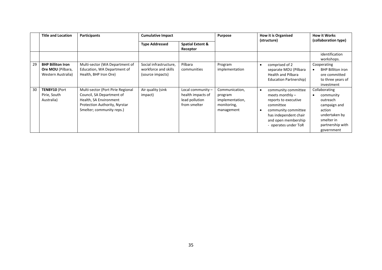|    | <b>Title and Location</b>                                                  | <b>Participants</b>                                                                                                                                    | <b>Cumulative Impact</b>                                           |                                                                            | <b>Purpose</b>                                                            | <b>How it is Organised</b><br>(structure)                                                                                                                                    | <b>How it Works</b><br>(collaboration type)                                                                                       |
|----|----------------------------------------------------------------------------|--------------------------------------------------------------------------------------------------------------------------------------------------------|--------------------------------------------------------------------|----------------------------------------------------------------------------|---------------------------------------------------------------------------|------------------------------------------------------------------------------------------------------------------------------------------------------------------------------|-----------------------------------------------------------------------------------------------------------------------------------|
|    |                                                                            |                                                                                                                                                        | <b>Type Addressed</b>                                              | <b>Spatial Extent &amp;</b><br>Receptor                                    |                                                                           |                                                                                                                                                                              |                                                                                                                                   |
|    |                                                                            |                                                                                                                                                        |                                                                    |                                                                            |                                                                           |                                                                                                                                                                              | identification<br>workshops.                                                                                                      |
| 29 | <b>BHP Billiton Iron</b><br><b>Ore MOU</b> (Pilbara,<br>Western Australia) | Multi-sector (WA Department of<br>Education, WA Department of<br>Health, BHP Iron Ore)                                                                 | Social infrastructure.<br>workforce and skills<br>(source impacts) | Pilbara<br>communities                                                     | Program<br>implementation                                                 | comprised of 2<br>separate MOU (Pilbara<br><b>Health and Pilbara</b><br>Education Partnership)                                                                               | Cooperating<br><b>BHP Billiton iron</b><br>ore committed<br>to three years of<br>investment                                       |
| 30 | <b>TENBY10 (Port</b><br>Pirie, South<br>Australia)                         | Multi-sector (Port Pirie Regional<br>Council, SA Department of<br>Health, SA Environment<br>Protection Authority, Nyrstar<br>Smelter; community reps.) | Air quality (sink<br>impact)                                       | Local community $-$<br>health impacts of<br>lead pollution<br>from smelter | Communication,<br>program<br>implementation,<br>monitoring,<br>management | community committee<br>meets monthly $-$<br>reports to executive<br>committee<br>community committee<br>has independent chair<br>and open membership<br>- operates under ToR | Collaborating<br>community<br>outreach<br>campaign and<br>action<br>undertaken by<br>smelter in<br>partnership with<br>government |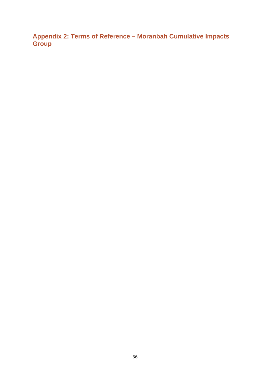**Appendix 2: Terms of Reference – Moranbah Cumulative Impacts Group**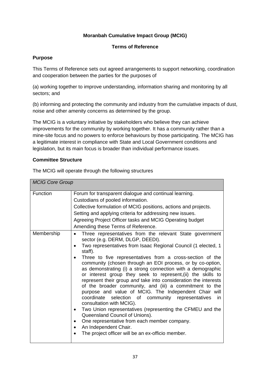#### **Moranbah Cumulative Impact Group (MCIG)**

#### **Terms of Reference**

#### **Purpose**

This Terms of Reference sets out agreed arrangements to support networking, coordination and cooperation between the parties for the purposes of

(a) working together to improve understanding, information sharing and monitoring by all sectors; and

(b) informing and protecting the community and industry from the cumulative impacts of dust, noise and other amenity concerns as determined by the group.

The MCIG is a voluntary initiative by stakeholders who believe they can achieve improvements for the community by working together. It has a community rather than a mine-site focus and no powers to enforce behaviours by those participating. The MCIG has a legitimate interest in compliance with State and Local Government conditions and legislation, but its main focus is broader than individual performance issues.

#### **Committee Structure**

| <b>MCIG Core Group</b> |                                                                                                                                                                                                                                                                                                                                                                                                                                                                                                                                                                                                                                                                                                                                                                                                                                                                                                                                                                                                              |  |  |  |
|------------------------|--------------------------------------------------------------------------------------------------------------------------------------------------------------------------------------------------------------------------------------------------------------------------------------------------------------------------------------------------------------------------------------------------------------------------------------------------------------------------------------------------------------------------------------------------------------------------------------------------------------------------------------------------------------------------------------------------------------------------------------------------------------------------------------------------------------------------------------------------------------------------------------------------------------------------------------------------------------------------------------------------------------|--|--|--|
| Function               | Forum for transparent dialogue and continual learning.<br>Custodians of pooled information.<br>Collective formulation of MCIG positions, actions and projects.<br>Setting and applying criteria for addressing new issues.<br>Agreeing Project Officer tasks and MCIG Operating budget<br>Amending these Terms of Reference.                                                                                                                                                                                                                                                                                                                                                                                                                                                                                                                                                                                                                                                                                 |  |  |  |
| Membership             | Three representatives from the relevant State government<br>$\bullet$<br>sector (e.g. DERM, DLGP, DEEDI).<br>Two representatives from Isaac Regional Council (1 elected, 1<br>$\bullet$<br>staff).<br>Three to five representatives from a cross-section of the<br>٠<br>community (chosen through an EOI process, or by co-option,<br>as demonstrating (i) a strong connection with a demographic<br>or interest group they seek to represent, (ii) the skills to<br>represent their group and take into consideration the interests<br>of the broader community, and (iii) a commitment to the<br>purpose and value of MCIG. The Independent Chair will<br>coordinate selection of community representatives<br>in.<br>consultation with MCIG).<br>Two Union representatives (representing the CFMEU and the<br>$\bullet$<br>Queensland Council of Unions).<br>One representative from each member company.<br>٠<br>An Independent Chair.<br>$\bullet$<br>The project officer will be an ex-officio member. |  |  |  |

The MCIG will operate through the following structures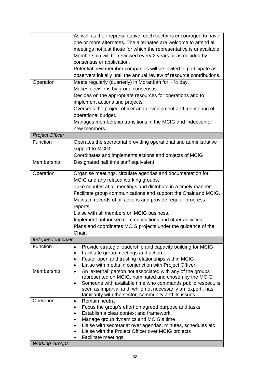|                                    | As well as their representative, each sector is encouraged to have<br>one or more alternates. The alternates are welcome to attend all<br>meetings not just those for which the representative is unavailable.<br>Membership will be reviewed every 2 years or as decided by<br>consensus or application.                                                                                                                                                                                                 |
|------------------------------------|-----------------------------------------------------------------------------------------------------------------------------------------------------------------------------------------------------------------------------------------------------------------------------------------------------------------------------------------------------------------------------------------------------------------------------------------------------------------------------------------------------------|
|                                    | Potential new member companies will be invited to participate as<br>observers initially until the annual review of resource contributions.                                                                                                                                                                                                                                                                                                                                                                |
| Operation                          | Meets regularly (quarterly) in Moranbah for $\sim$ 1/2 day.<br>Makes decisions by group consensus.<br>Decides on the appropriate resources for operations and to<br>implement actions and projects.<br>Oversees the project officer and development and monitoring of<br>operational budget.<br>Manages membership transitions in the MCIG and induction of<br>new members.                                                                                                                               |
| <b>Project Officer</b>             |                                                                                                                                                                                                                                                                                                                                                                                                                                                                                                           |
| Function                           | Operates the secretariat providing operational and administrative<br>support to MCIG.<br>Coordinates and implements actions and projects of MCIG                                                                                                                                                                                                                                                                                                                                                          |
| Membership                         | Designated half time staff equivalent                                                                                                                                                                                                                                                                                                                                                                                                                                                                     |
| Operation                          | Organise meetings, circulate agendas and documentation for<br>MCIG and any related working groups.<br>Take minutes at all meetings and distribute in a timely manner.<br>Facilitate group communications and support the Chair and MCIG.<br>Maintain records of all actions and provide regular progress<br>reports.<br>Liaise with all members on MCIG business.<br>Implement authorised communications and other activities.<br>Plans and coordinates MCIG projects under the guidance of the<br>Chair. |
| Independent chair                  |                                                                                                                                                                                                                                                                                                                                                                                                                                                                                                           |
| <b>Function</b>                    | Provide strategic leadership and capacity building for MCIG<br>٠<br>Facilitate group meetings and action<br>٠<br>Foster open and trusting relationships within MCIG<br>$\bullet$<br>Liaise with media in conjunction with Project Officer<br>٠                                                                                                                                                                                                                                                            |
| Membership                         | An 'external' person not associated with any of the groups<br>$\bullet$<br>represented on MCIG, nominated and chosen by the MCIG.<br>Someone with available time who commands public respect, is<br>$\bullet$<br>seen as impartial and, while not necessarily an 'expert', has<br>familiarity with the sector, community and its issues.                                                                                                                                                                  |
| Operation<br><b>Working Groups</b> | Remain neutral<br>٠<br>Focus the group's effort on agreed purpose and tasks<br>Establish a clear context and framework<br>Manage group dynamics and MCIG's time<br>Liaise with secretariat over agendas, minutes, schedules etc<br>Liaise with the Project Officer over MCIG projects<br>Facilitate meetings                                                                                                                                                                                              |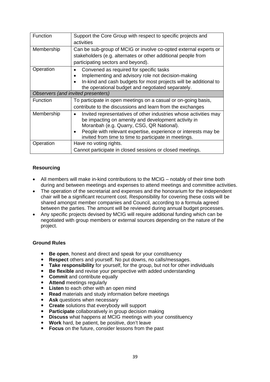| Function   | Support the Core Group with respect to specific projects and<br>activities                                                                                                                                                                                                                      |  |  |
|------------|-------------------------------------------------------------------------------------------------------------------------------------------------------------------------------------------------------------------------------------------------------------------------------------------------|--|--|
| Membership | Can be sub-group of MCIG or involve co-opted external experts or<br>stakeholders (e.g. alternates or other additional people from<br>participating sectors and beyond).                                                                                                                         |  |  |
| Operation  | Convened as required for specific tasks<br>Implementing and advisory role not decision-making<br>In-kind and cash budgets for most projects will be additional to<br>the operational budget and negotiated separately.                                                                          |  |  |
|            | Observers (and invited presenters)                                                                                                                                                                                                                                                              |  |  |
| Function   | To participate in open meetings on a casual or on-going basis,<br>contribute to the discussions and learn from the exchanges                                                                                                                                                                    |  |  |
| Membership | Invited representatives of other industries whose activities may<br>be impacting on amenity and development activity in<br>Moranbah (e.g. Quarry, CSG, QR National).<br>People with relevant expertise, experience or interests may be<br>invited from time to time to participate in meetings. |  |  |
| Operation  | Have no voting rights.<br>Cannot participate in closed sessions or closed meetings.                                                                                                                                                                                                             |  |  |

#### **Resourcing**

- All members will make in-kind contributions to the MCIG notably of their time both during and between meetings and expenses to attend meetings and committee activities.
- The operation of the secretariat and expenses and the honorarium for the independent chair will be a significant recurrent cost. Responsibility for covering these costs will be shared amongst member companies and Council, according to a formula agreed between the parties. The amount will be reviewed during annual budget processes.
- Any specific projects devised by MCIG will require additional funding which can be negotiated with group members or external sources depending on the nature of the project.

#### **Ground Rules**

- **Be open**, honest and direct and speak for your constituency
- **Respect** others and yourself. No put downs, no calls/messages.
- **Take responsibility** for yourself, for the group, but not for other individuals
- **Be flexible** and revise your perspective with added understanding
- **Commit and contribute equally**
- **Attend** meetings regularly
- **Listen** to each other with an open mind
- **Read** materials and study information before meetings
- **Ask questions when necessary**
- **Create** solutions that everybody will support
- **Participate** collaboratively in group decision making
- **Discuss** what happens at MCIG meetings with your constituency
- **Work** hard, be patient, be positive, don't leave
- **Focus** on the future, consider lessons from the past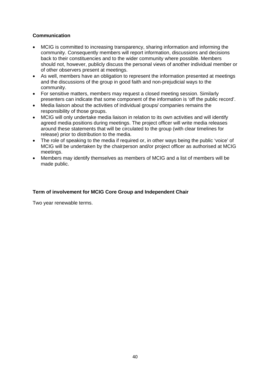#### **Communication**

- MCIG is committed to increasing transparency, sharing information and informing the community. Consequently members will report information, discussions and decisions back to their constituencies and to the wider community where possible. Members should not, however, publicly discuss the personal views of another individual member or of other observers present at meetings.
- As well, members have an obligation to represent the information presented at meetings and the discussions of the group in good faith and non-prejudicial ways to the community.
- For sensitive matters, members may request a closed meeting session. Similarly presenters can indicate that some component of the information is 'off the public record'.
- Media liaison about the activities of individual groups/ companies remains the responsibility of those groups.
- MCIG will only undertake media liaison in relation to its own activities and will identify agreed media positions during meetings. The project officer will write media releases around these statements that will be circulated to the group (with clear timelines for release) prior to distribution to the media.
- The role of speaking to the media if required or, in other ways being the public 'voice' of MCIG will be undertaken by the chairperson and/or project officer as authorised at MCIG meetings.
- Members may identify themselves as members of MCIG and a list of members will be made public.

#### **Term of involvement for MCIG Core Group and Independent Chair**

Two year renewable terms.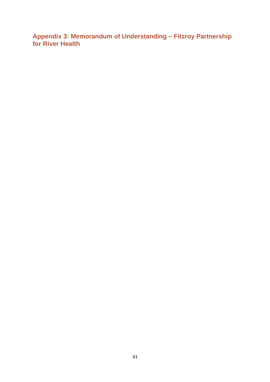**Appendix 3: Memorandum of Understanding – Fitzroy Partnership for River Health**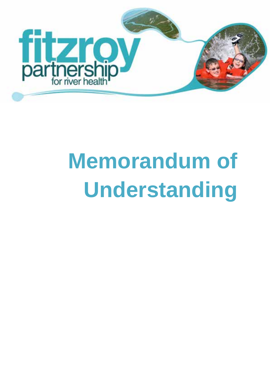

# **Memorandum of Understanding**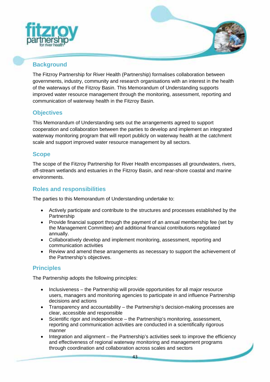



# **Background**

The Fitzroy Partnership for River Health (Partnership) formalises collaboration between governments, industry, community and research organisations with an interest in the health of the waterways of the Fitzroy Basin. This Memorandum of Understanding supports improved water resource management through the monitoring, assessment, reporting and communication of waterway health in the Fitzroy Basin.

# **Objectives**

This Memorandum of Understanding sets out the arrangements agreed to support cooperation and collaboration between the parties to develop and implement an integrated waterway monitoring program that will report publicly on waterway health at the catchment scale and support improved water resource management by all sectors.

# **Scope**

The scope of the Fitzroy Partnership for River Health encompasses all groundwaters, rivers, off-stream wetlands and estuaries in the Fitzroy Basin, and near-shore coastal and marine environments.

# **Roles and responsibilities**

The parties to this Memorandum of Understanding undertake to:

- Actively participate and contribute to the structures and processes established by the Partnership
- Provide financial support through the payment of an annual membership fee (set by the Management Committee) and additional financial contributions negotiated annually.
- Collaboratively develop and implement monitoring, assessment, reporting and communication activities
- Review and amend these arrangements as necessary to support the achievement of the Partnership's objectives.

# **Principles**

The Partnership adopts the following principles:

- Inclusiveness the Partnership will provide opportunities for all major resource users, managers and monitoring agencies to participate in and influence Partnership decisions and actions
- Transparency and accountability the Partnership's decision-making processes are clear, accessible and responsible
- Scientific rigor and independence the Partnership's monitoring, assessment, reporting and communication activities are conducted in a scientifically rigorous manner
- Integration and alignment the Partnership's activities seek to improve the efficiency and effectiveness of regional waterway monitoring and management programs through coordination and collaboration across scales and sectors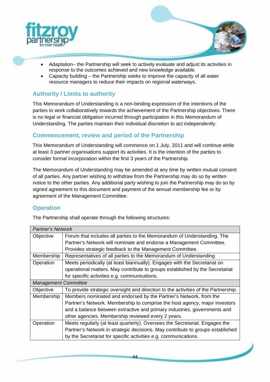



- Adaptation– the Partnership will seek to actively evaluate and adjust its activities in response to the outcomes achieved and new knowledge available.
- Capacity building the Partnership seeks to improve the capacity of all water resource managers to reduce their impacts on regional waterways.

# **Authority / Limits to authority**

This Memorandum of Understanding is a non-binding expression of the intentions of the parties to work collaboratively towards the achievement of the Partnership objectives. There is no legal or financial obligation incurred through participation in this Memorandum of Understanding. The parties maintain their individual discretion to act independently.

# **Commencement, review and period of the Partnership**

This Memorandum of Understanding will commence on 1 July, 2011 and will continue while at least 3 partner organisations support its activities. It is the intention of the parties to consider formal incorporation within the first 3 years of the Partnership.

The Memorandum of Understanding may be amended at any time by written mutual consent of all parties. Any partner wishing to withdraw from the Partnership may do so by written notice to the other parties. Any additional party wishing to join the Partnership may do so by signed agreement to this document and payment of the annual membership fee or by agreement of the Management Committee.

# **Operation**

The Partnership shall operate through the following structures:

| <b>Partner's Network</b>    |                                                                                    |  |  |  |
|-----------------------------|------------------------------------------------------------------------------------|--|--|--|
| Objective                   | Forum that includes all parties to the Memorandum of Understanding. The            |  |  |  |
|                             | Partner's Network will nominate and endorse a Management Committee.                |  |  |  |
|                             | Provides strategic feedback to the Management Committee.                           |  |  |  |
| Membership                  | Representatives of all parties to the Memorandum of Understanding                  |  |  |  |
| Operation                   | Meets periodically (at least biannually). Engages with the Secretariat on          |  |  |  |
|                             | operational matters. May contribute to groups established by the Secretariat       |  |  |  |
|                             | for specific activities e.g. communications.                                       |  |  |  |
| <b>Management Committee</b> |                                                                                    |  |  |  |
| Objective                   | To provide strategic oversight and direction to the activities of the Partnership. |  |  |  |
| Membership                  | Members nominated and endorsed by the Partner's Network, from the                  |  |  |  |
|                             | Partner's Network. Membership to comprise the host agency, major investors         |  |  |  |
|                             | and a balance between extractive and primary industries, governments and           |  |  |  |
|                             | other agencies. Membership reviewed every 2 years.                                 |  |  |  |
| Operation                   | Meets regularly (at least quarterly). Oversees the Secretariat. Engages the        |  |  |  |
|                             | Partner's Network in strategic decisions. May contribute to groups established     |  |  |  |
|                             | by the Secretariat for specific activities e.g. communications.                    |  |  |  |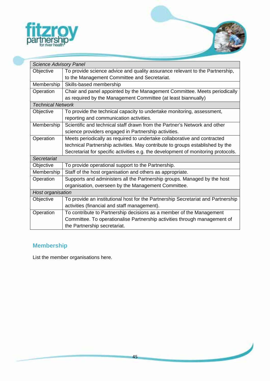

| <b>Science Advisory Panel</b>                                                             |                                                                                   |  |  |  |
|-------------------------------------------------------------------------------------------|-----------------------------------------------------------------------------------|--|--|--|
| To provide science advice and quality assurance relevant to the Partnership,<br>Objective |                                                                                   |  |  |  |
|                                                                                           | to the Management Committee and Secretariat.                                      |  |  |  |
| Membership                                                                                | Skills-based membership                                                           |  |  |  |
| Chair and panel appointed by the Management Committee. Meets periodically<br>Operation    |                                                                                   |  |  |  |
|                                                                                           | as required by the Management Committee (at least biannually)                     |  |  |  |
| <b>Technical Network</b>                                                                  |                                                                                   |  |  |  |
| Objective                                                                                 | To provide the technical capacity to undertake monitoring, assessment,            |  |  |  |
|                                                                                           | reporting and communication activities.                                           |  |  |  |
| Membership                                                                                | Scientific and technical staff drawn from the Partner's Network and other         |  |  |  |
|                                                                                           | science providers engaged in Partnership activities.                              |  |  |  |
| Operation                                                                                 | Meets periodically as required to undertake collaborative and contracted          |  |  |  |
|                                                                                           | technical Partnership activities. May contribute to groups established by the     |  |  |  |
|                                                                                           | Secretariat for specific activities e.g. the development of monitoring protocols. |  |  |  |
| Secretariat                                                                               |                                                                                   |  |  |  |
| Objective                                                                                 | To provide operational support to the Partnership.                                |  |  |  |
| Membership                                                                                | Staff of the host organisation and others as appropriate.                         |  |  |  |
| Operation                                                                                 | Supports and administers all the Partnership groups. Managed by the host          |  |  |  |
|                                                                                           | organisation, overseen by the Management Committee.                               |  |  |  |
| Host organisation                                                                         |                                                                                   |  |  |  |
| Objective                                                                                 | To provide an institutional host for the Partnership Secretariat and Partnership  |  |  |  |
|                                                                                           | activities (financial and staff management).                                      |  |  |  |
| Operation                                                                                 | To contribute to Partnership decisions as a member of the Management              |  |  |  |
|                                                                                           | Committee. To operationalise Partnership activities through management of         |  |  |  |
|                                                                                           | the Partnership secretariat.                                                      |  |  |  |

# **Membership**

List the member organisations here.